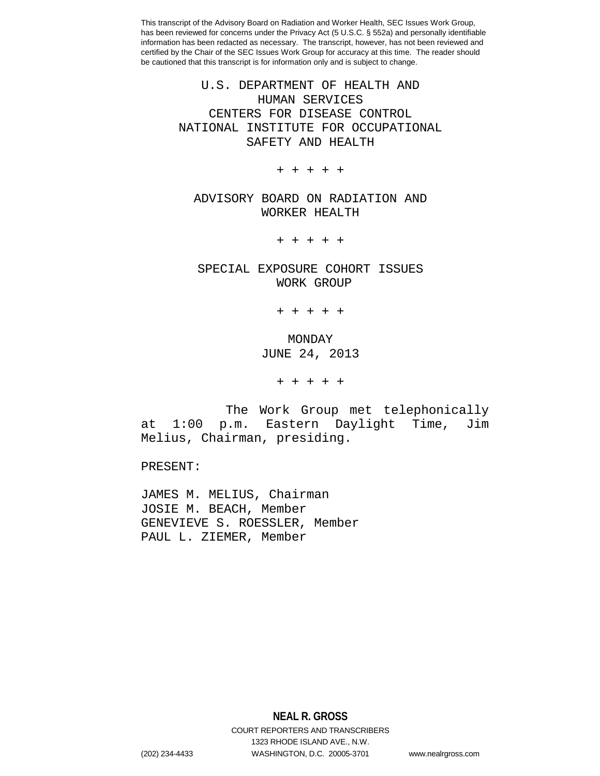> U.S. DEPARTMENT OF HEALTH AND HUMAN SERVICES CENTERS FOR DISEASE CONTROL NATIONAL INSTITUTE FOR OCCUPATIONAL SAFETY AND HEALTH

> > + + + + +

ADVISORY BOARD ON RADIATION AND WORKER HEALTH

+ + + + +

SPECIAL EXPOSURE COHORT ISSUES WORK GROUP

+ + + + +

## MONDAY JUNE 24, 2013

+ + + + +

The Work Group met telephonically at 1:00 p.m. Eastern Daylight Time, Jim Melius, Chairman, presiding.

PRESENT:

JAMES M. MELIUS, Chairman JOSIE M. BEACH, Member GENEVIEVE S. ROESSLER, Member PAUL L. ZIEMER, Member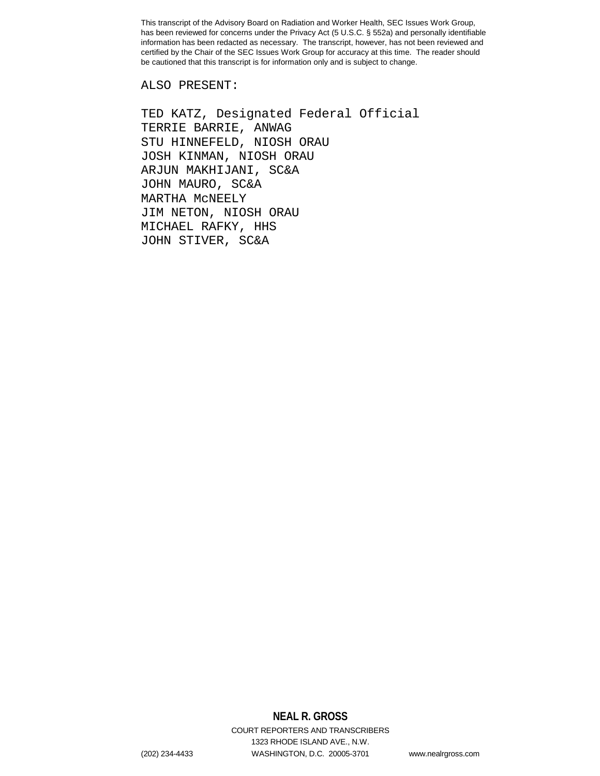ALSO PRESENT:

TED KATZ, Designated Federal Official TERRIE BARRIE, ANWAG STU HINNEFELD, NIOSH ORAU JOSH KINMAN, NIOSH ORAU ARJUN MAKHIJANI, SC&A JOHN MAURO, SC&A MARTHA McNEELY JIM NETON, NIOSH ORAU MICHAEL RAFKY, HHS JOHN STIVER, SC&A

# **NEAL R. GROSS**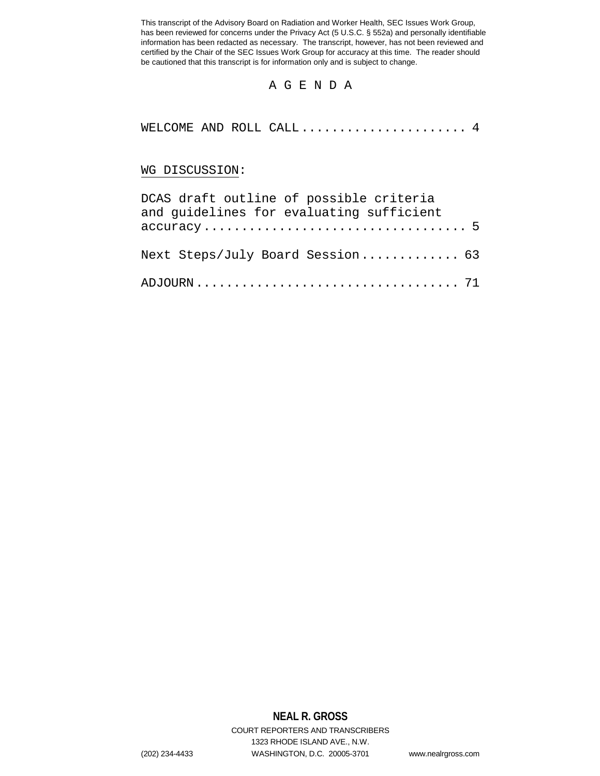#### A G E N D A

```
WELCOME AND ROLL CALL...................... 4
```
#### WG DISCUSSION:

| DCAS draft outline of possible criteria                                                        |  |
|------------------------------------------------------------------------------------------------|--|
| and guidelines for evaluating sufficient                                                       |  |
| $accuracy \dots \dots \dots \dots \dots \dots \dots \dots \dots \dots \dots \dots \dots \dots$ |  |
| Next Steps/July Board Session 63                                                               |  |
|                                                                                                |  |

### **NEAL R. GROSS**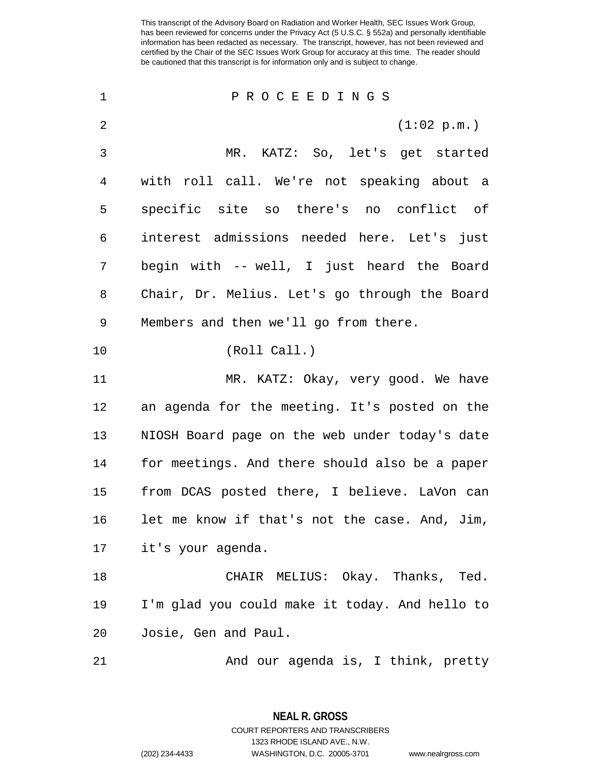| 1            | PROCEEDINGS                                    |
|--------------|------------------------------------------------|
| 2            | (1:02 p.m.)                                    |
| $\mathsf{3}$ | MR. KATZ: So, let's get started                |
| 4            | with roll call. We're not speaking about a     |
| 5            | specific site so there's no conflict of        |
| 6            | interest admissions needed here. Let's just    |
| 7            | begin with -- well, I just heard the Board     |
| 8            | Chair, Dr. Melius. Let's go through the Board  |
| 9            | Members and then we'll go from there.          |
| 10           | (Roll Call.)                                   |
| 11           | MR. KATZ: Okay, very good. We have             |
| 12           | an agenda for the meeting. It's posted on the  |
| 13           | NIOSH Board page on the web under today's date |
| 14           | for meetings. And there should also be a paper |
| $15$         | from DCAS posted there, I believe. LaVon can   |
| 16           | let me know if that's not the case. And, Jim,  |
| 17           | it's your agenda.                              |
| 18           | CHAIR MELIUS: Okay. Thanks, Ted.               |
| 19           | I'm glad you could make it today. And hello to |
| 20           | Josie, Gen and Paul.                           |
| 21           | And our agenda is, I think, pretty             |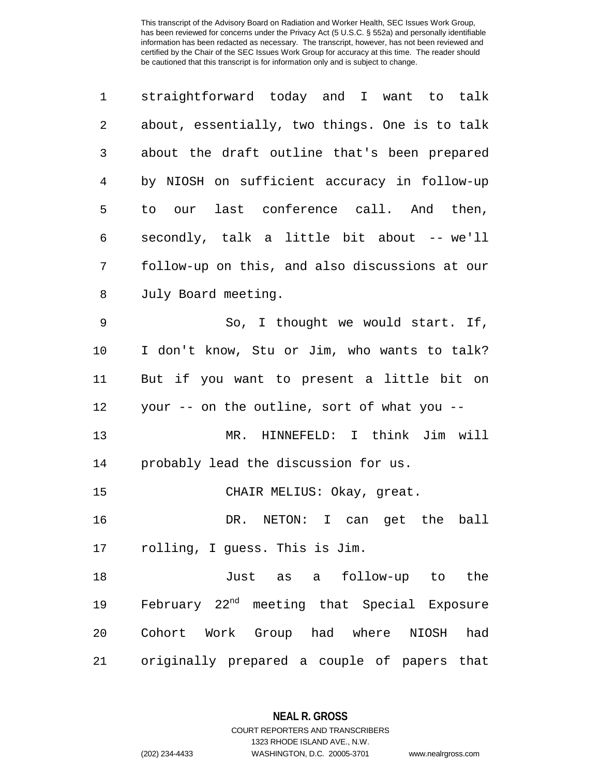| 1  | straightforward today and I want to talk                |
|----|---------------------------------------------------------|
| 2  | about, essentially, two things. One is to talk          |
| 3  | about the draft outline that's been prepared            |
| 4  | by NIOSH on sufficient accuracy in follow-up            |
| 5  | our last conference call. And then,<br>to               |
| 6  | secondly, talk a little bit about -- we'll              |
| 7  | follow-up on this, and also discussions at our          |
| 8  | July Board meeting.                                     |
| 9  | So, I thought we would start. If,                       |
| 10 | I don't know, Stu or Jim, who wants to talk?            |
| 11 | But if you want to present a little bit on              |
| 12 | your -- on the outline, sort of what you --             |
| 13 | HINNEFELD: I think Jim will<br>MR.                      |
| 14 | probably lead the discussion for us.                    |
| 15 | CHAIR MELIUS: Okay, great.                              |
| 16 | I can get the ball<br>DR. NETON:                        |
| 17 | rolling, I guess. This is Jim.                          |
| 18 | Just as a follow-up to the                              |
| 19 | February 22 <sup>nd</sup> meeting that Special Exposure |
| 20 | Cohort Work Group had where NIOSH<br>had                |
| 21 | originally prepared a couple of papers that             |

**NEAL R. GROSS** COURT REPORTERS AND TRANSCRIBERS

1323 RHODE ISLAND AVE., N.W. (202) 234-4433 WASHINGTON, D.C. 20005-3701 www.nealrgross.com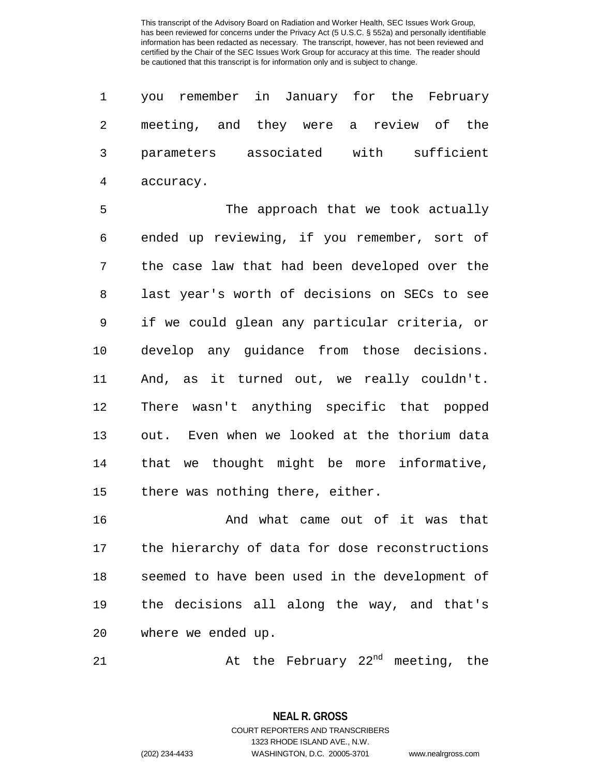|             | 1 you remember in January for the February |  |
|-------------|--------------------------------------------|--|
|             | 2 meeting, and they were a review of the   |  |
|             | 3 parameters associated with sufficient    |  |
| 4 accuracy. |                                            |  |

 The approach that we took actually ended up reviewing, if you remember, sort of the case law that had been developed over the last year's worth of decisions on SECs to see if we could glean any particular criteria, or develop any guidance from those decisions. And, as it turned out, we really couldn't. There wasn't anything specific that popped out. Even when we looked at the thorium data that we thought might be more informative, 15 there was nothing there, either.

 And what came out of it was that the hierarchy of data for dose reconstructions seemed to have been used in the development of the decisions all along the way, and that's where we ended up.

21 at the February 22<sup>nd</sup> meeting, the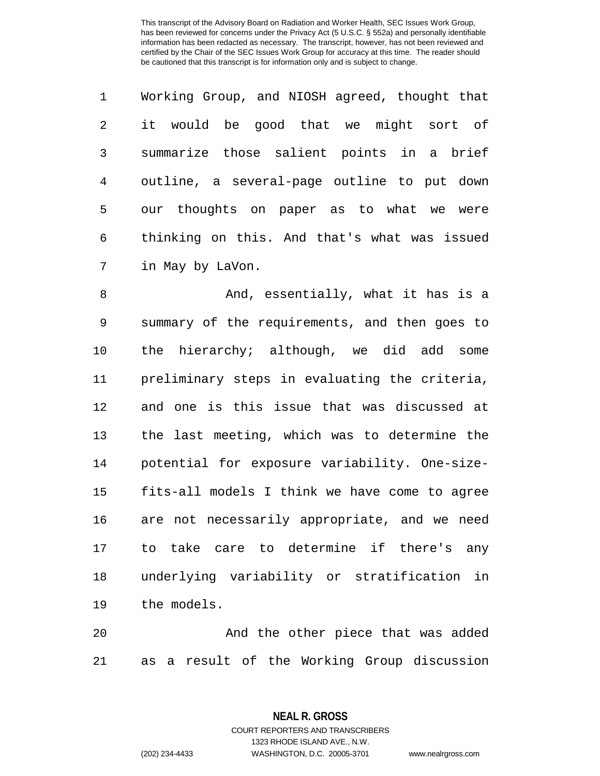| $\mathbf{1}$   | Working Group, and NIOSH agreed, thought that |
|----------------|-----------------------------------------------|
| 2              | it would be good that we might sort of        |
| $\overline{3}$ | summarize those salient points in a brief     |
| 4              | outline, a several-page outline to put down   |
| 5              | our thoughts on paper as to what we were      |
| 6              | thinking on this. And that's what was issued  |
| 7              | in May by LaVon.                              |

8 And, essentially, what it has is a summary of the requirements, and then goes to the hierarchy; although, we did add some preliminary steps in evaluating the criteria, and one is this issue that was discussed at the last meeting, which was to determine the potential for exposure variability. One-size- fits-all models I think we have come to agree are not necessarily appropriate, and we need to take care to determine if there's any underlying variability or stratification in the models.

 And the other piece that was added as a result of the Working Group discussion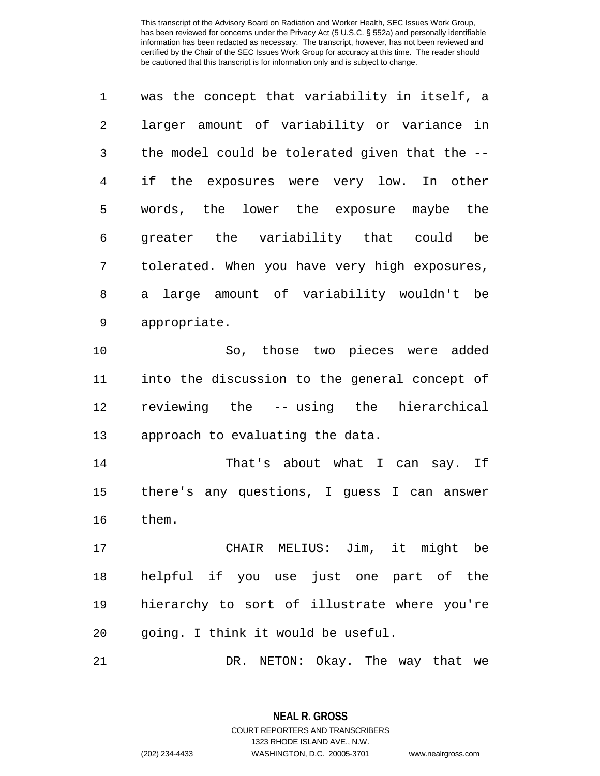| $\mathbf 1$ | was the concept that variability in itself, a  |
|-------------|------------------------------------------------|
| 2           | larger amount of variability or variance in    |
| 3           | the model could be tolerated given that the -- |
| 4           | if the exposures were very low. In other       |
| 5           | words, the lower the exposure maybe the        |
| 6           | greater the variability that could be          |
| 7           | tolerated. When you have very high exposures,  |
| 8           | a large amount of variability wouldn't be      |
| 9           | appropriate.                                   |

 So, those two pieces were added into the discussion to the general concept of reviewing the -- using the hierarchical approach to evaluating the data.

14 That's about what I can say. If there's any questions, I guess I can answer them.

 CHAIR MELIUS: Jim, it might be helpful if you use just one part of the hierarchy to sort of illustrate where you're going. I think it would be useful.

DR. NETON: Okay. The way that we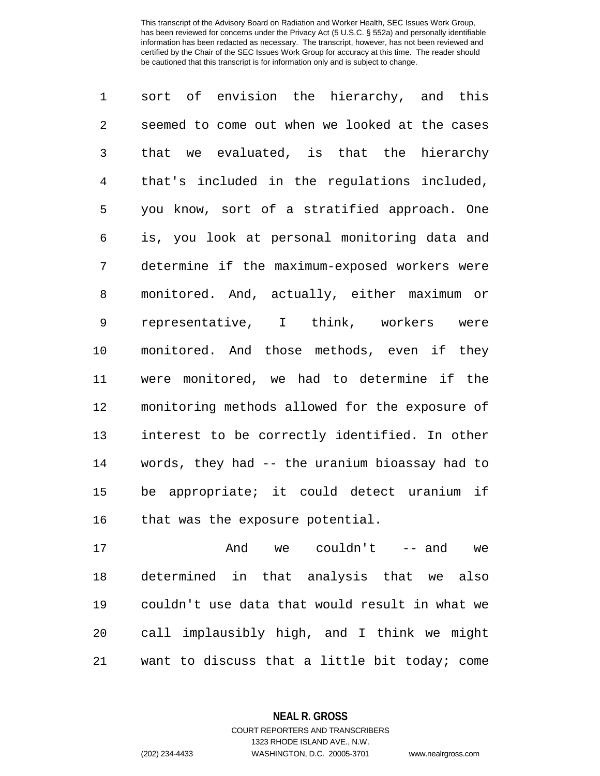sort of envision the hierarchy, and this seemed to come out when we looked at the cases that we evaluated, is that the hierarchy that's included in the regulations included, you know, sort of a stratified approach. One is, you look at personal monitoring data and determine if the maximum-exposed workers were monitored. And, actually, either maximum or representative, I think, workers were monitored. And those methods, even if they were monitored, we had to determine if the monitoring methods allowed for the exposure of interest to be correctly identified. In other words, they had -- the uranium bioassay had to be appropriate; it could detect uranium if 16 that was the exposure potential.

 And we couldn't -- and we determined in that analysis that we also couldn't use data that would result in what we call implausibly high, and I think we might want to discuss that a little bit today; come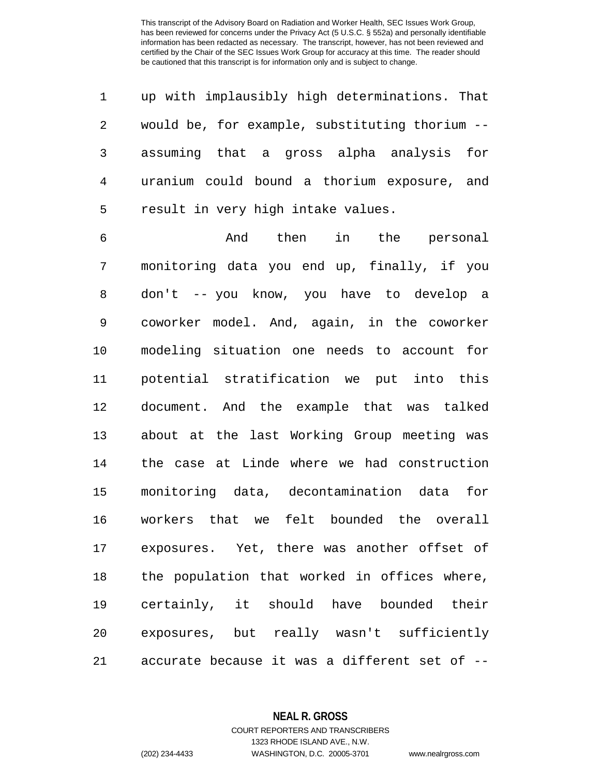up with implausibly high determinations. That would be, for example, substituting thorium -- assuming that a gross alpha analysis for uranium could bound a thorium exposure, and result in very high intake values.

 And then in the personal monitoring data you end up, finally, if you don't -- you know, you have to develop a coworker model. And, again, in the coworker modeling situation one needs to account for potential stratification we put into this document. And the example that was talked about at the last Working Group meeting was the case at Linde where we had construction monitoring data, decontamination data for workers that we felt bounded the overall exposures. Yet, there was another offset of the population that worked in offices where, certainly, it should have bounded their exposures, but really wasn't sufficiently accurate because it was a different set of --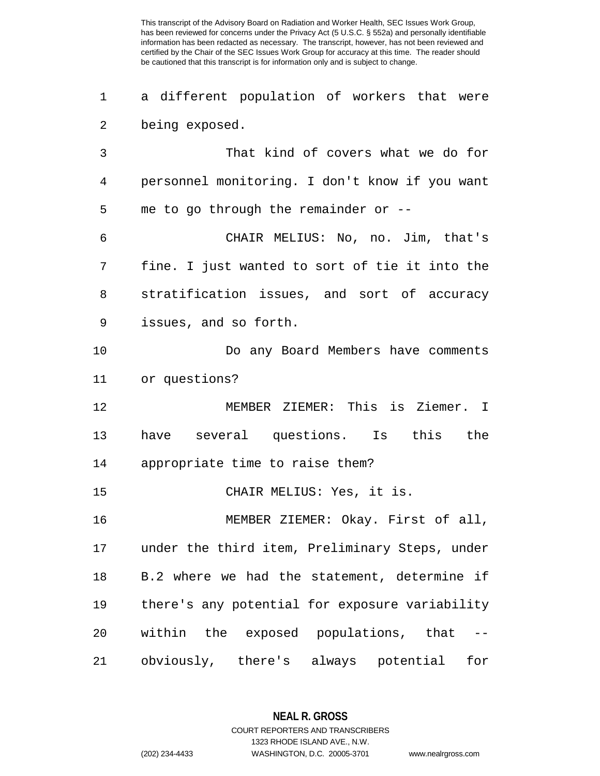a different population of workers that were being exposed. That kind of covers what we do for personnel monitoring. I don't know if you want me to go through the remainder or -- CHAIR MELIUS: No, no. Jim, that's fine. I just wanted to sort of tie it into the stratification issues, and sort of accuracy issues, and so forth. Do any Board Members have comments or questions? MEMBER ZIEMER: This is Ziemer. I have several questions. Is this the appropriate time to raise them? CHAIR MELIUS: Yes, it is. MEMBER ZIEMER: Okay. First of all, under the third item, Preliminary Steps, under B.2 where we had the statement, determine if there's any potential for exposure variability within the exposed populations, that -- obviously, there's always potential for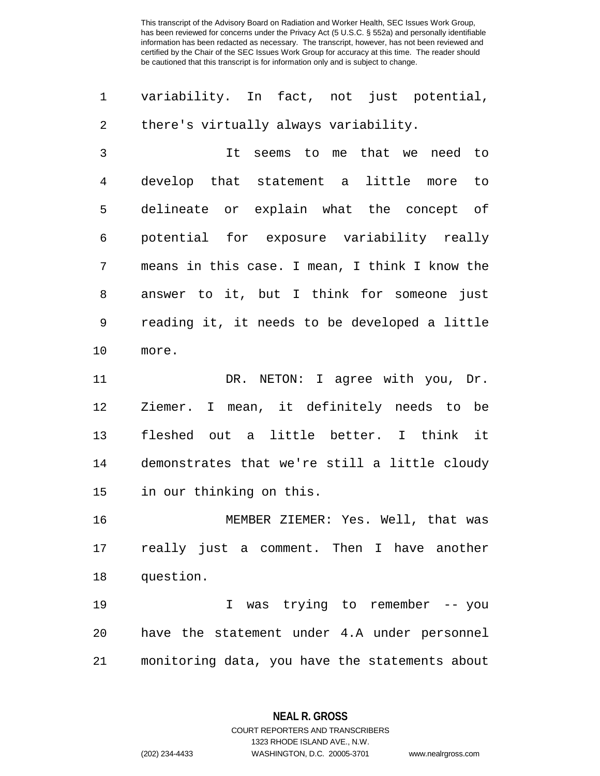| 1  | variability. In fact, not just potential,      |
|----|------------------------------------------------|
| 2  | there's virtually always variability.          |
| 3  | seems to me that we need to<br>It              |
| 4  | develop that statement a little more to        |
| 5  | delineate or explain what the concept of       |
| 6  | potential for exposure variability really      |
| 7  | means in this case. I mean, I think I know the |
| 8  | answer to it, but I think for someone just     |
| 9  | reading it, it needs to be developed a little  |
| 10 | more.                                          |
| 11 | DR. NETON: I agree with you, Dr.               |
| 12 | Ziemer. I mean, it definitely needs to be      |
| 13 | fleshed out a little better. I think it        |
| 14 | demonstrates that we're still a little cloudy  |
| 15 | in our thinking on this.                       |
| 16 | MEMBER ZIEMER: Yes. Well, that was             |
| 17 | really just a comment. Then I have another     |
| 18 | question.                                      |
| 19 | was trying to remember -- you<br>I             |
| 20 | have the statement under 4.A under personnel   |
| 21 | monitoring data, you have the statements about |

**NEAL R. GROSS** COURT REPORTERS AND TRANSCRIBERS

1323 RHODE ISLAND AVE., N.W.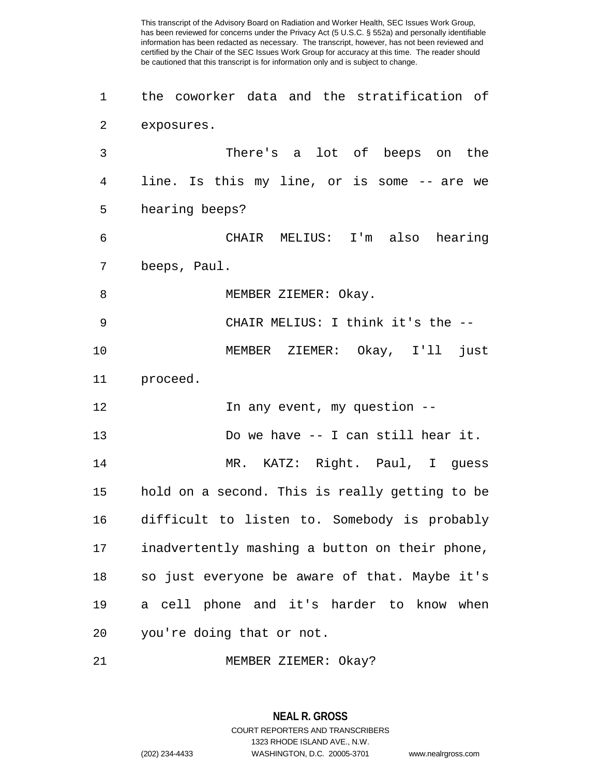the coworker data and the stratification of exposures. There's a lot of beeps on the line. Is this my line, or is some -- are we hearing beeps? CHAIR MELIUS: I'm also hearing beeps, Paul. 8 MEMBER ZIEMER: Okay. CHAIR MELIUS: I think it's the -- MEMBER ZIEMER: Okay, I'll just proceed. **In any event, my question** -- Do we have -- I can still hear it. MR. KATZ: Right. Paul, I guess hold on a second. This is really getting to be difficult to listen to. Somebody is probably inadvertently mashing a button on their phone, so just everyone be aware of that. Maybe it's a cell phone and it's harder to know when you're doing that or not. MEMBER ZIEMER: Okay?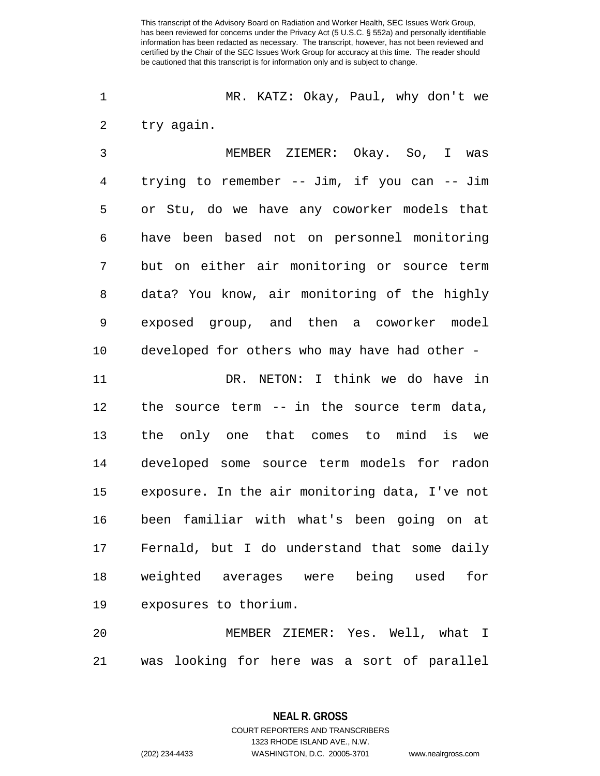MR. KATZ: Okay, Paul, why don't we try again.

 MEMBER ZIEMER: Okay. So, I was trying to remember -- Jim, if you can -- Jim or Stu, do we have any coworker models that have been based not on personnel monitoring but on either air monitoring or source term data? You know, air monitoring of the highly exposed group, and then a coworker model developed for others who may have had other -

 DR. NETON: I think we do have in the source term -- in the source term data, the only one that comes to mind is we developed some source term models for radon exposure. In the air monitoring data, I've not been familiar with what's been going on at Fernald, but I do understand that some daily weighted averages were being used for exposures to thorium.

 MEMBER ZIEMER: Yes. Well, what I was looking for here was a sort of parallel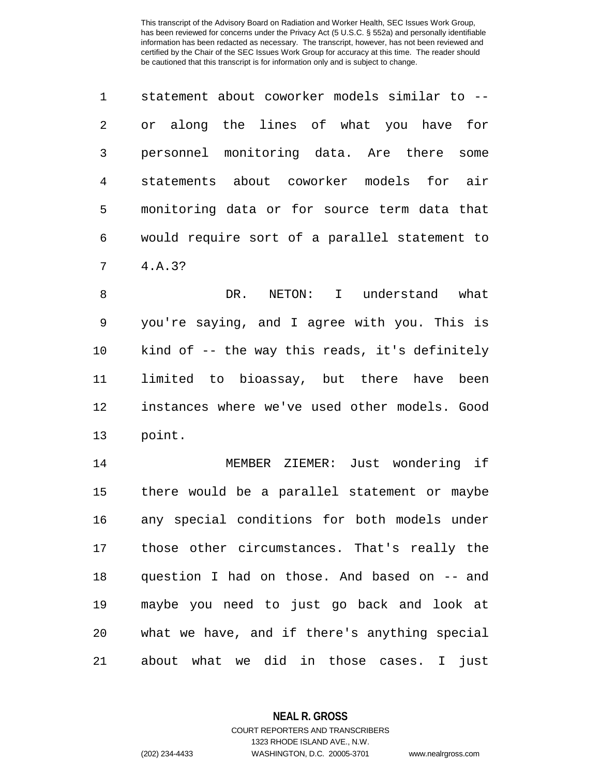|   | statement about coworker models similar to -- |
|---|-----------------------------------------------|
| 2 | or along the lines of what you have for       |
| 3 | personnel monitoring data. Are there some     |
| 4 | statements about coworker models for air      |
| 5 | monitoring data or for source term data that  |
| 6 | would require sort of a parallel statement to |
| 7 | 4.A.3?                                        |

 DR. NETON: I understand what you're saying, and I agree with you. This is kind of -- the way this reads, it's definitely limited to bioassay, but there have been instances where we've used other models. Good point.

 MEMBER ZIEMER: Just wondering if there would be a parallel statement or maybe any special conditions for both models under those other circumstances. That's really the question I had on those. And based on -- and maybe you need to just go back and look at what we have, and if there's anything special about what we did in those cases. I just

**NEAL R. GROSS**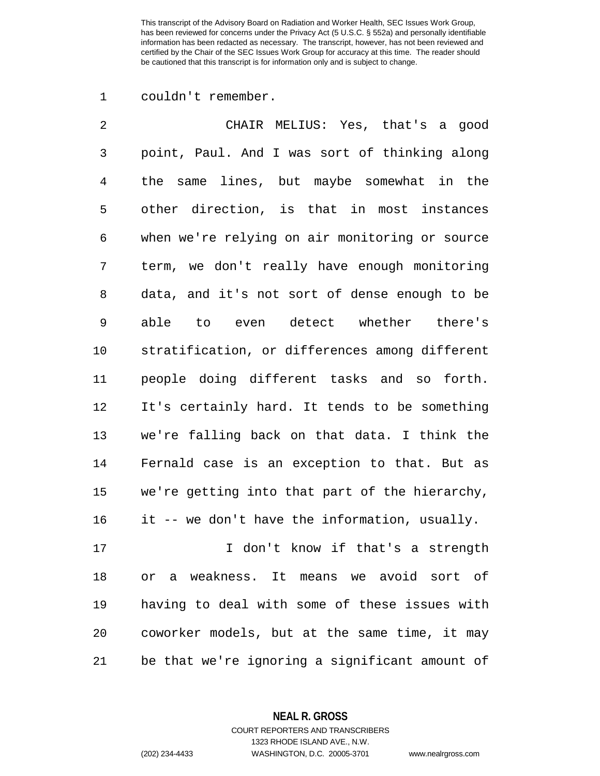couldn't remember.

| $\overline{2}$ | CHAIR MELIUS: Yes, that's a good               |
|----------------|------------------------------------------------|
| 3              | point, Paul. And I was sort of thinking along  |
| $\overline{4}$ | lines, but maybe somewhat in the<br>the same   |
| 5              | other direction, is that in most instances     |
| 6              | when we're relying on air monitoring or source |
| 7              | term, we don't really have enough monitoring   |
| 8              | data, and it's not sort of dense enough to be  |
| 9              | even detect whether there's<br>able<br>to      |
| 10             | stratification, or differences among different |
| 11             | people doing different tasks and so forth.     |
| 12             | It's certainly hard. It tends to be something  |
| 13             | we're falling back on that data. I think the   |
| 14             | Fernald case is an exception to that. But as   |
| 15             | we're getting into that part of the hierarchy, |
| 16             | it -- we don't have the information, usually.  |
| 17             | I don't know if that's a strength              |
| 18             | weakness. It means we avoid sort of<br>Оr<br>а |
| 19             | having to deal with some of these issues with  |

be that we're ignoring a significant amount of

coworker models, but at the same time, it may

**NEAL R. GROSS**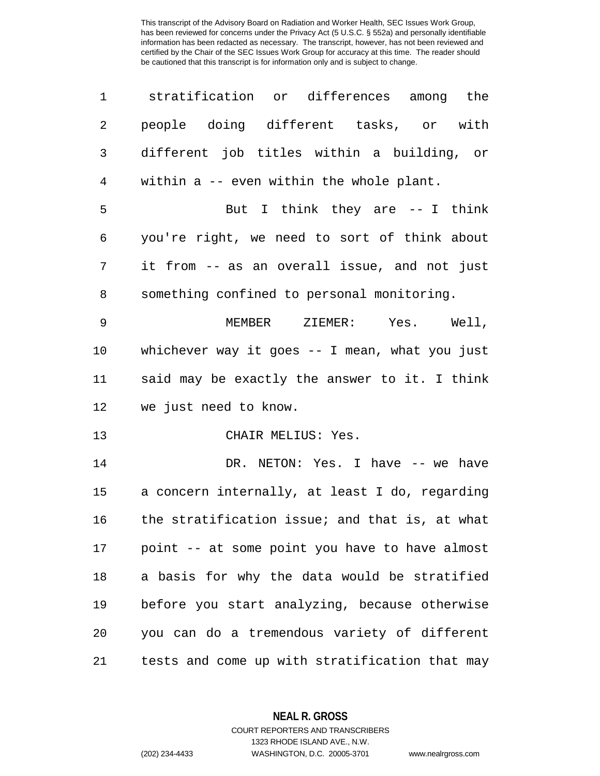| 1              | stratification or differences among the         |
|----------------|-------------------------------------------------|
| $\overline{c}$ | people doing different tasks, or with           |
| 3              | different job titles within a building, or      |
| $\overline{4}$ | within a -- even within the whole plant.        |
| 5              | But I think they are -- I think                 |
| 6              | you're right, we need to sort of think about    |
| 7              | it from -- as an overall issue, and not just    |
| 8              | something confined to personal monitoring.      |
| 9              | MEMBER ZIEMER: Yes. Well,                       |
| 10             | whichever way it goes $-$ I mean, what you just |
| 11             | said may be exactly the answer to it. I think   |
| 12             | we just need to know.                           |
| 13             | CHAIR MELIUS: Yes.                              |
| 14             | DR. NETON: Yes. I have -- we have               |
| 15             | a concern internally, at least I do, regarding  |
| 16             | the stratification issue; and that is, at what  |
| 17             | point -- at some point you have to have almost  |
| 18             | a basis for why the data would be stratified    |
| 19             | before you start analyzing, because otherwise   |
| 20             | you can do a tremendous variety of different    |
| 21             | tests and come up with stratification that may  |

**NEAL R. GROSS**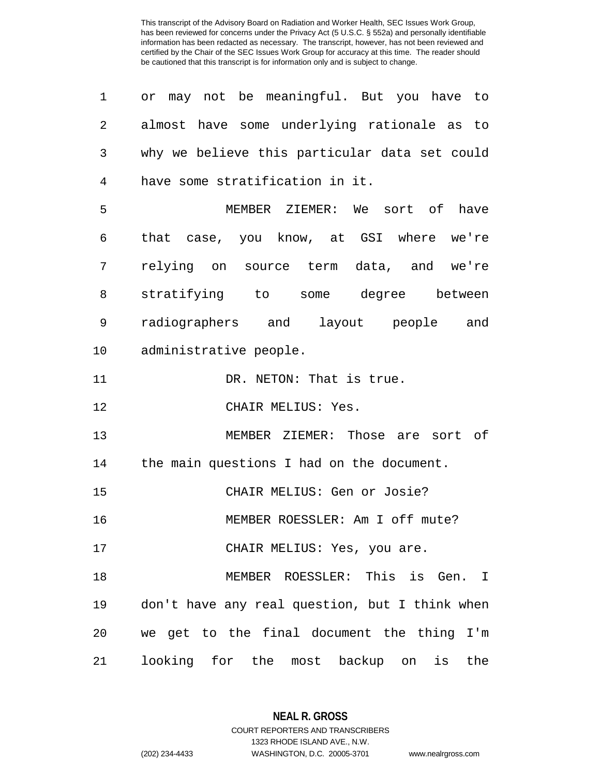| 1              | or may not be meaningful. But you have to      |
|----------------|------------------------------------------------|
| $\overline{2}$ | almost have some underlying rationale as to    |
| 3              | why we believe this particular data set could  |
| 4              | have some stratification in it.                |
| 5              | MEMBER ZIEMER: We sort of have                 |
| 6              | that case, you know, at GSI where we're        |
| 7              | relying on source term data, and we're         |
| 8              | stratifying to some degree between             |
| 9              | radiographers and layout people and            |
| 10             | administrative people.                         |
| 11             | DR. NETON: That is true.                       |
| 12             | CHAIR MELIUS: Yes.                             |
| 13             | MEMBER ZIEMER: Those are sort of               |
| 14             | the main questions I had on the document.      |
| 15             | CHAIR MELIUS: Gen or Josie?                    |
| 16             | MEMBER ROESSLER: Am I off mute?                |
| 17             | CHAIR MELIUS: Yes, you are.                    |
| 18             | MEMBER ROESSLER: This is Gen. I                |
| 19             | don't have any real question, but I think when |
| 20             | we get to the final document the thing I'm     |
| 21             | looking for the most<br>backup on<br>is<br>the |

**NEAL R. GROSS** COURT REPORTERS AND TRANSCRIBERS

1323 RHODE ISLAND AVE., N.W.

(202) 234-4433 WASHINGTON, D.C. 20005-3701 www.nealrgross.com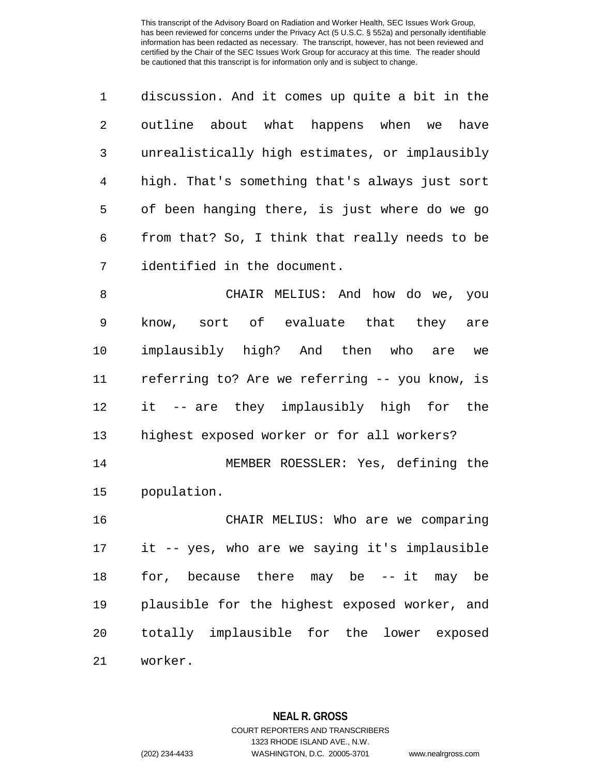discussion. And it comes up quite a bit in the outline about what happens when we have unrealistically high estimates, or implausibly high. That's something that's always just sort of been hanging there, is just where do we go from that? So, I think that really needs to be identified in the document.

 CHAIR MELIUS: And how do we, you know, sort of evaluate that they are implausibly high? And then who are we referring to? Are we referring -- you know, is it -- are they implausibly high for the highest exposed worker or for all workers?

 MEMBER ROESSLER: Yes, defining the population.

 CHAIR MELIUS: Who are we comparing it -- yes, who are we saying it's implausible for, because there may be -- it may be plausible for the highest exposed worker, and totally implausible for the lower exposed worker.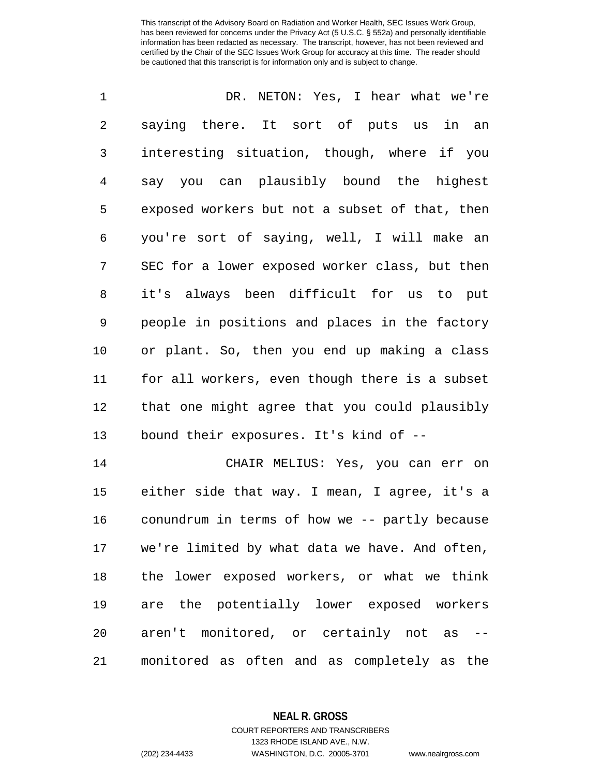DR. NETON: Yes, I hear what we're saying there. It sort of puts us in an interesting situation, though, where if you say you can plausibly bound the highest exposed workers but not a subset of that, then you're sort of saying, well, I will make an SEC for a lower exposed worker class, but then it's always been difficult for us to put people in positions and places in the factory or plant. So, then you end up making a class for all workers, even though there is a subset that one might agree that you could plausibly bound their exposures. It's kind of -- CHAIR MELIUS: Yes, you can err on either side that way. I mean, I agree, it's a conundrum in terms of how we -- partly because we're limited by what data we have. And often, the lower exposed workers, or what we think are the potentially lower exposed workers

monitored as often and as completely as the

aren't monitored, or certainly not as --

**NEAL R. GROSS**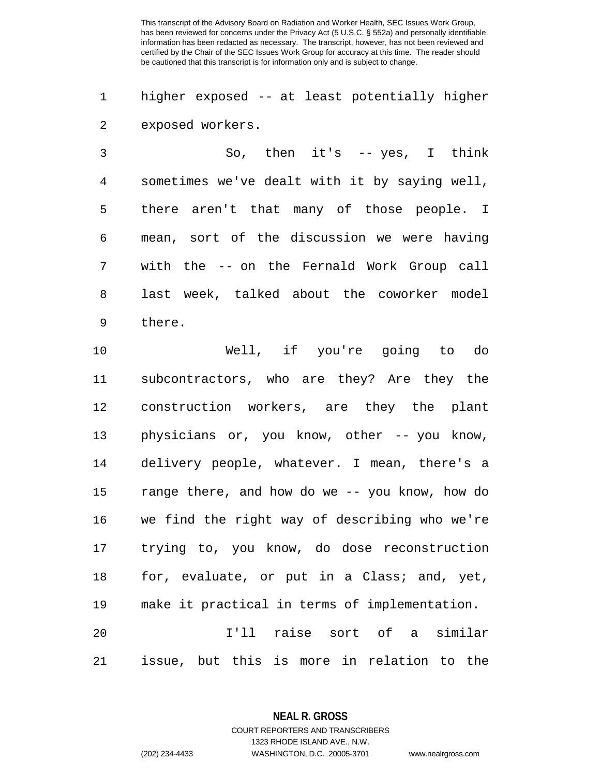higher exposed -- at least potentially higher exposed workers.

 So, then it's -- yes, I think sometimes we've dealt with it by saying well, there aren't that many of those people. I mean, sort of the discussion we were having with the -- on the Fernald Work Group call last week, talked about the coworker model there.

 Well, if you're going to do subcontractors, who are they? Are they the construction workers, are they the plant physicians or, you know, other -- you know, delivery people, whatever. I mean, there's a range there, and how do we -- you know, how do we find the right way of describing who we're trying to, you know, do dose reconstruction 18 for, evaluate, or put in a Class; and, yet, make it practical in terms of implementation. I'll raise sort of a similar issue, but this is more in relation to the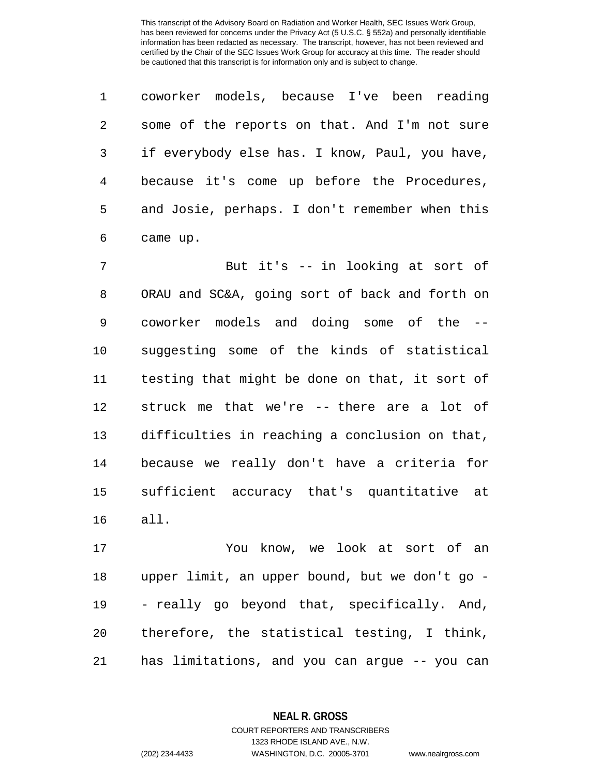coworker models, because I've been reading some of the reports on that. And I'm not sure if everybody else has. I know, Paul, you have, because it's come up before the Procedures, and Josie, perhaps. I don't remember when this came up.

 But it's -- in looking at sort of ORAU and SC&A, going sort of back and forth on coworker models and doing some of the -- suggesting some of the kinds of statistical testing that might be done on that, it sort of struck me that we're -- there are a lot of difficulties in reaching a conclusion on that, because we really don't have a criteria for sufficient accuracy that's quantitative at all.

 You know, we look at sort of an upper limit, an upper bound, but we don't go - - really go beyond that, specifically. And, therefore, the statistical testing, I think, has limitations, and you can argue -- you can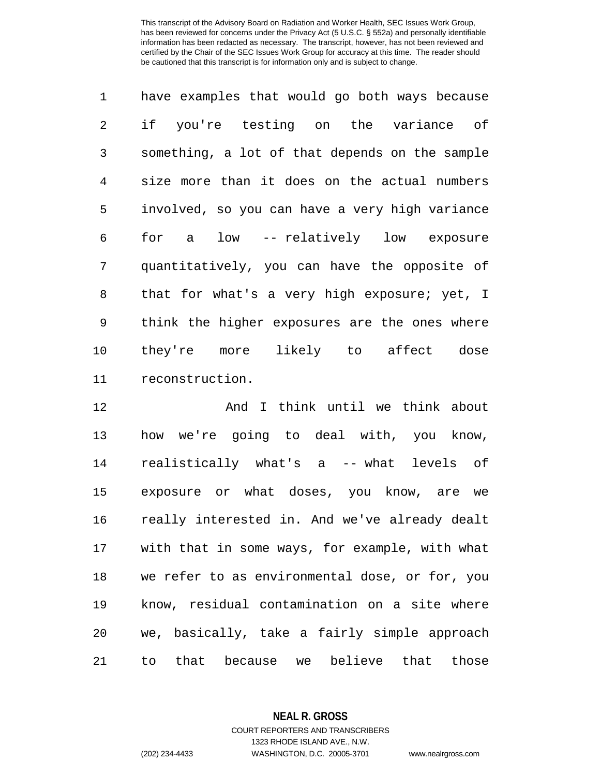have examples that would go both ways because if you're testing on the variance of something, a lot of that depends on the sample size more than it does on the actual numbers involved, so you can have a very high variance for a low -- relatively low exposure quantitatively, you can have the opposite of that for what's a very high exposure; yet, I think the higher exposures are the ones where they're more likely to affect dose reconstruction.

 And I think until we think about how we're going to deal with, you know, realistically what's a -- what levels of exposure or what doses, you know, are we really interested in. And we've already dealt with that in some ways, for example, with what we refer to as environmental dose, or for, you know, residual contamination on a site where we, basically, take a fairly simple approach to that because we believe that those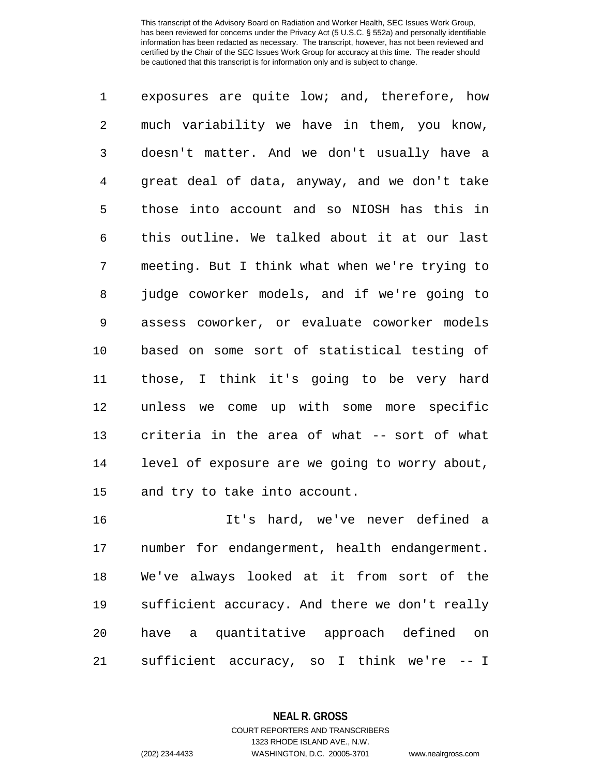exposures are quite low; and, therefore, how much variability we have in them, you know, doesn't matter. And we don't usually have a great deal of data, anyway, and we don't take those into account and so NIOSH has this in this outline. We talked about it at our last meeting. But I think what when we're trying to judge coworker models, and if we're going to assess coworker, or evaluate coworker models based on some sort of statistical testing of those, I think it's going to be very hard unless we come up with some more specific criteria in the area of what -- sort of what level of exposure are we going to worry about, and try to take into account.

 It's hard, we've never defined a number for endangerment, health endangerment. We've always looked at it from sort of the sufficient accuracy. And there we don't really have a quantitative approach defined on sufficient accuracy, so I think we're -- I

> **NEAL R. GROSS** COURT REPORTERS AND TRANSCRIBERS

> > 1323 RHODE ISLAND AVE., N.W.

(202) 234-4433 WASHINGTON, D.C. 20005-3701 www.nealrgross.com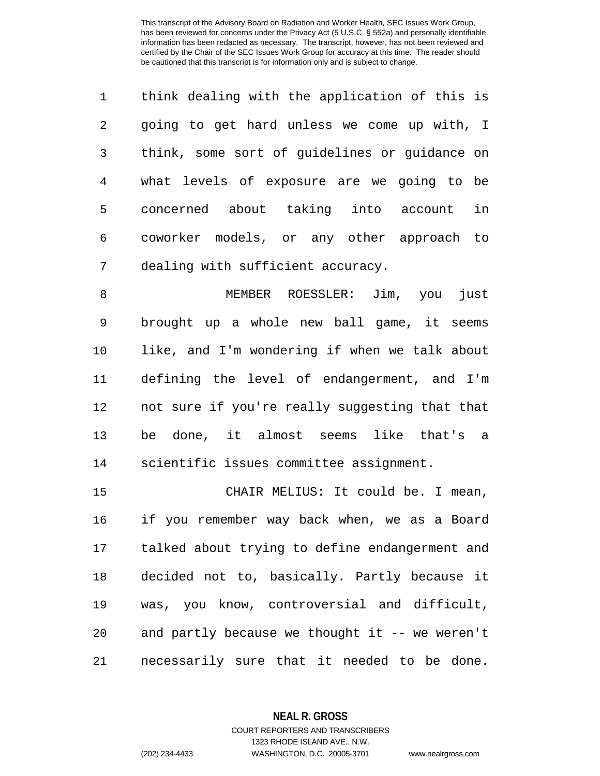| $\mathbf{1}$ | think dealing with the application of this is |
|--------------|-----------------------------------------------|
| 2            | going to get hard unless we come up with, I   |
| 3            | think, some sort of guidelines or guidance on |
| 4            | what levels of exposure are we going to be    |
| 5            | concerned about taking into account<br>in     |
| 6            | coworker models, or any other approach to     |
| 7            | dealing with sufficient accuracy.             |

 MEMBER ROESSLER: Jim, you just brought up a whole new ball game, it seems like, and I'm wondering if when we talk about defining the level of endangerment, and I'm not sure if you're really suggesting that that be done, it almost seems like that's a scientific issues committee assignment.

 CHAIR MELIUS: It could be. I mean, if you remember way back when, we as a Board talked about trying to define endangerment and decided not to, basically. Partly because it was, you know, controversial and difficult, and partly because we thought it -- we weren't necessarily sure that it needed to be done.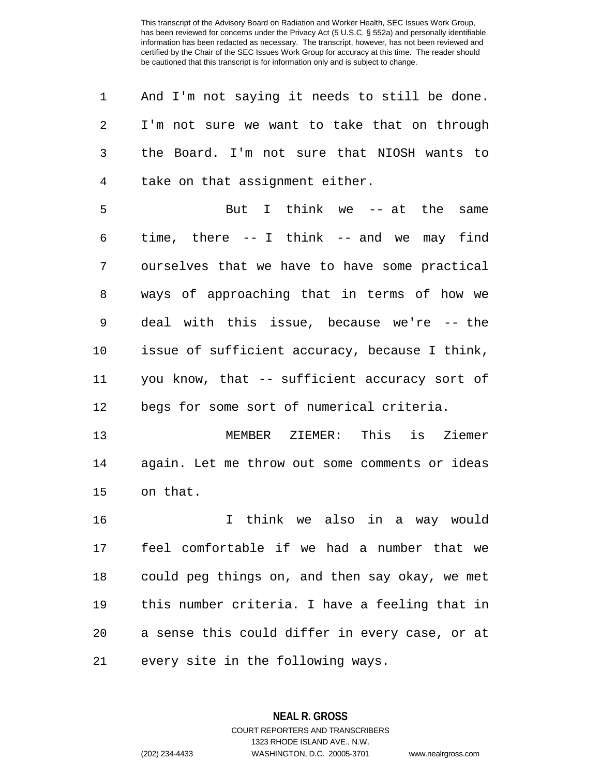| 1              | And I'm not saying it needs to still be done.   |
|----------------|-------------------------------------------------|
| 2              | I'm not sure we want to take that on through    |
| 3              | the Board. I'm not sure that NIOSH wants to     |
| $\overline{4}$ | take on that assignment either.                 |
| 5              | But I think we -- at the same                   |
| 6              | time, there $-$ - I think $-$ - and we may find |
| 7              | ourselves that we have to have some practical   |
| 8              | ways of approaching that in terms of how we     |
| 9              | deal with this issue, because we're -- the      |
| 10             | issue of sufficient accuracy, because I think,  |
| 11             | you know, that -- sufficient accuracy sort of   |
| 12             | begs for some sort of numerical criteria.       |
| 13             | This is<br>Ziemer<br>MEMBER ZIEMER:             |
| 14             | again. Let me throw out some comments or ideas  |
| 15             | on that.                                        |
| 16             | I think we also in a way would                  |
| 17             | feel comfortable if we had a number that we     |
| 18             | could peg things on, and then say okay, we met  |
| 19             | this number criteria. I have a feeling that in  |
| 20             | a sense this could differ in every case, or at  |
|                |                                                 |

every site in the following ways.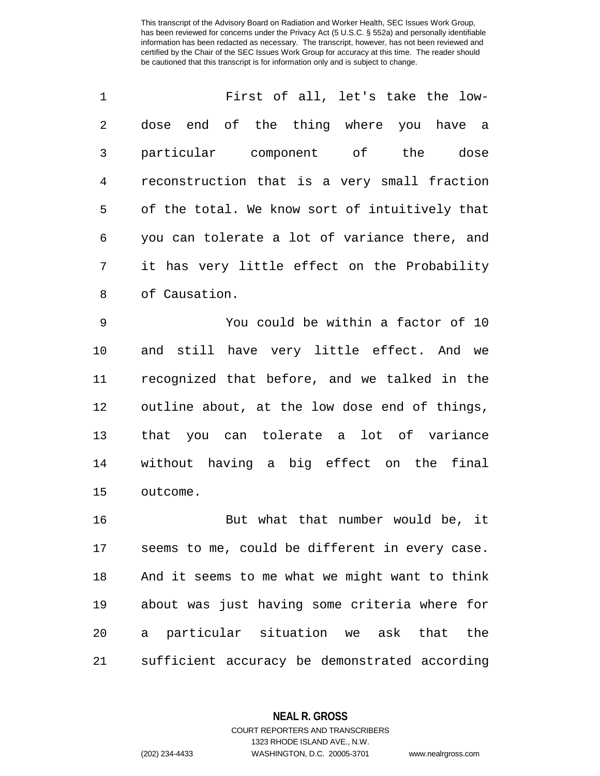| $\mathbf{1}$ | First of all, let's take the low-              |
|--------------|------------------------------------------------|
| 2            | dose end of the thing where you have a         |
| 3            | particular component of the<br>dose            |
| 4            | reconstruction that is a very small fraction   |
| 5            | of the total. We know sort of intuitively that |
| 6            | you can tolerate a lot of variance there, and  |
| 7            | it has very little effect on the Probability   |
| 8            | of Causation.                                  |

 You could be within a factor of 10 and still have very little effect. And we recognized that before, and we talked in the outline about, at the low dose end of things, that you can tolerate a lot of variance without having a big effect on the final outcome.

 But what that number would be, it seems to me, could be different in every case. And it seems to me what we might want to think about was just having some criteria where for a particular situation we ask that the sufficient accuracy be demonstrated according

### **NEAL R. GROSS**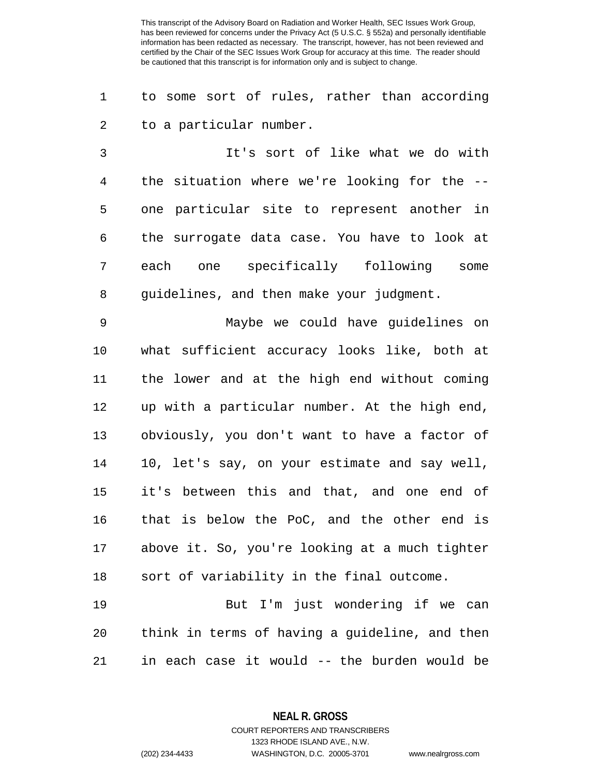to some sort of rules, rather than according to a particular number.

 It's sort of like what we do with the situation where we're looking for the -- one particular site to represent another in the surrogate data case. You have to look at each one specifically following some guidelines, and then make your judgment.

 Maybe we could have guidelines on what sufficient accuracy looks like, both at the lower and at the high end without coming up with a particular number. At the high end, obviously, you don't want to have a factor of 10, let's say, on your estimate and say well, it's between this and that, and one end of that is below the PoC, and the other end is above it. So, you're looking at a much tighter sort of variability in the final outcome.

 But I'm just wondering if we can think in terms of having a guideline, and then in each case it would -- the burden would be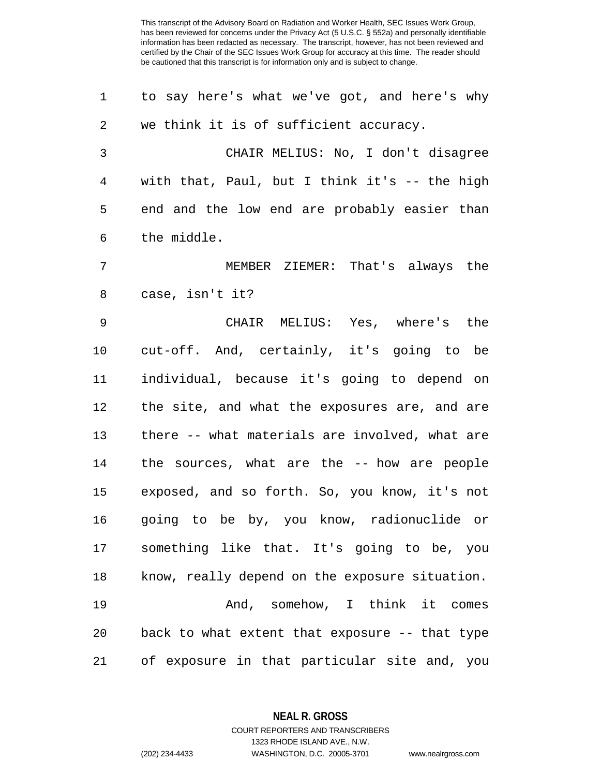| 1              | to say here's what we've got, and here's why   |
|----------------|------------------------------------------------|
| $\overline{c}$ | we think it is of sufficient accuracy.         |
| 3              | CHAIR MELIUS: No, I don't disagree             |
| 4              | with that, Paul, but I think it's -- the high  |
| 5              | end and the low end are probably easier than   |
| 6              | the middle.                                    |
| 7              | MEMBER ZIEMER: That's always the               |
| 8              | case, isn't it?                                |
| $\mathsf 9$    | CHAIR MELIUS: Yes, where's the                 |
| 10             | cut-off. And, certainly, it's going to be      |
| 11             | individual, because it's going to depend on    |
| 12             | the site, and what the exposures are, and are  |
| 13             | there -- what materials are involved, what are |
| 14             | the sources, what are the -- how are people    |
| 15             | exposed, and so forth. So, you know, it's not  |
| 16             | going to be by, you know, radionuclide or      |
| 17             | something like that. It's going to be, you     |
| 18             | know, really depend on the exposure situation. |
| 19             | And, somehow, I think it comes                 |
| 20             | back to what extent that exposure -- that type |
| 21             | of exposure in that particular site and, you   |

**NEAL R. GROSS**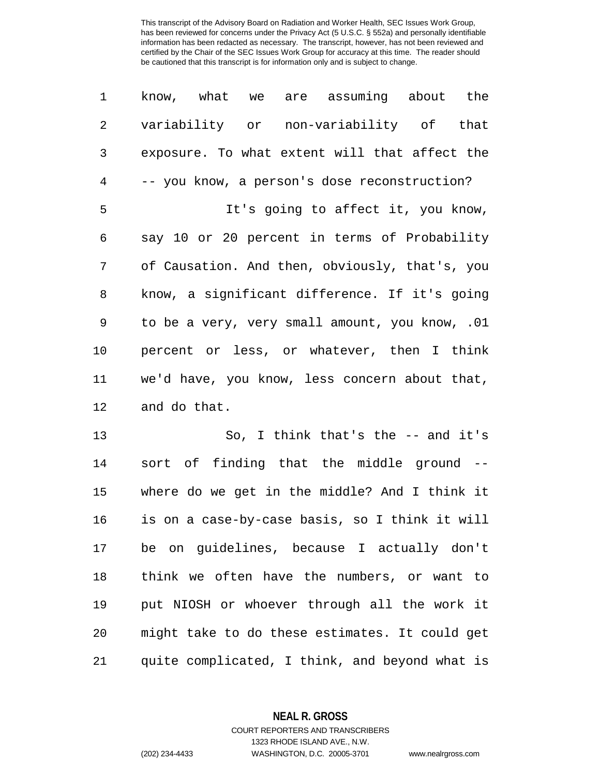| $\mathbf 1$    | know, what we are assuming about the           |
|----------------|------------------------------------------------|
| $\sqrt{2}$     | variability or non-variability of that         |
| 3              | exposure. To what extent will that affect the  |
| $\overline{4}$ | -- you know, a person's dose reconstruction?   |
| 5              | It's going to affect it, you know,             |
| 6              | say 10 or 20 percent in terms of Probability   |
| 7              | of Causation. And then, obviously, that's, you |
| 8              | know, a significant difference. If it's going  |
| 9              | to be a very, very small amount, you know, .01 |
| 10             | percent or less, or whatever, then I think     |
| 11             | we'd have, you know, less concern about that,  |
| 12             | and do that.                                   |
| 13             | So, I think that's the $-$ and it's            |
| 14             | sort of finding that the middle ground --      |
| 15             | where do we get in the middle? And I think it  |
| 16             | is on a case-by-case basis, so I think it will |
| 17             | be<br>on guidelines, because I actually don't  |

 think we often have the numbers, or want to put NIOSH or whoever through all the work it might take to do these estimates. It could get quite complicated, I think, and beyond what is

**NEAL R. GROSS**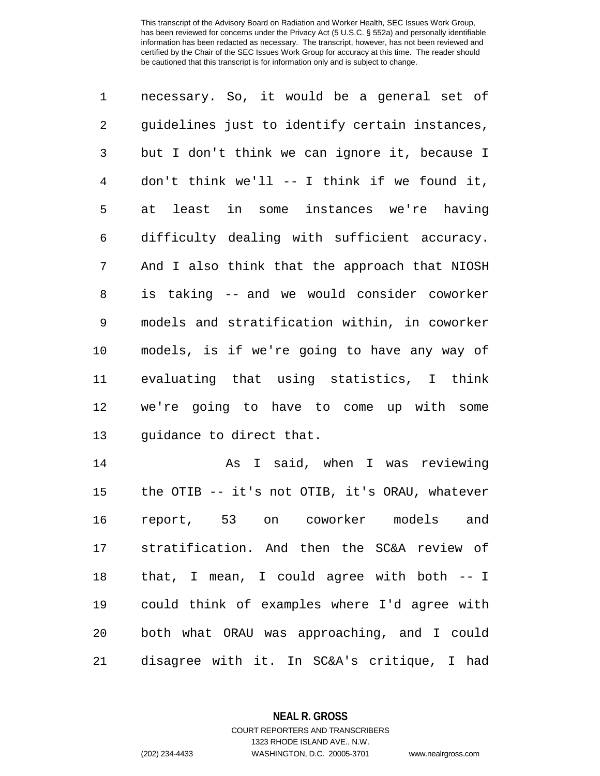| $\mathbf 1$    | necessary. So, it would be a general set of    |
|----------------|------------------------------------------------|
| 2              | guidelines just to identify certain instances, |
| 3              | but I don't think we can ignore it, because I  |
| $\overline{4}$ | don't think we'll $--$ I think if we found it, |
| 5              | at least in some instances we're having        |
| 6              | difficulty dealing with sufficient accuracy.   |
| 7              | And I also think that the approach that NIOSH  |
| 8              | is taking -- and we would consider coworker    |
| 9              | models and stratification within, in coworker  |
| 10             | models, is if we're going to have any way of   |
| 11             | evaluating that using statistics, I think      |
| 12             | we're going to have to come up with some       |
| 13             | quidance to direct that.                       |
| 14             | As I said, when I was reviewing                |
| 15             | the OTIB -- it's not OTIB, it's ORAU, whatever |
|                |                                                |

 the OTIB -- it's not OTIB, it's ORAU, whatever report, 53 on coworker models and stratification. And then the SC&A review of that, I mean, I could agree with both -- I could think of examples where I'd agree with both what ORAU was approaching, and I could disagree with it. In SC&A's critique, I had

> **NEAL R. GROSS** COURT REPORTERS AND TRANSCRIBERS

> > 1323 RHODE ISLAND AVE., N.W.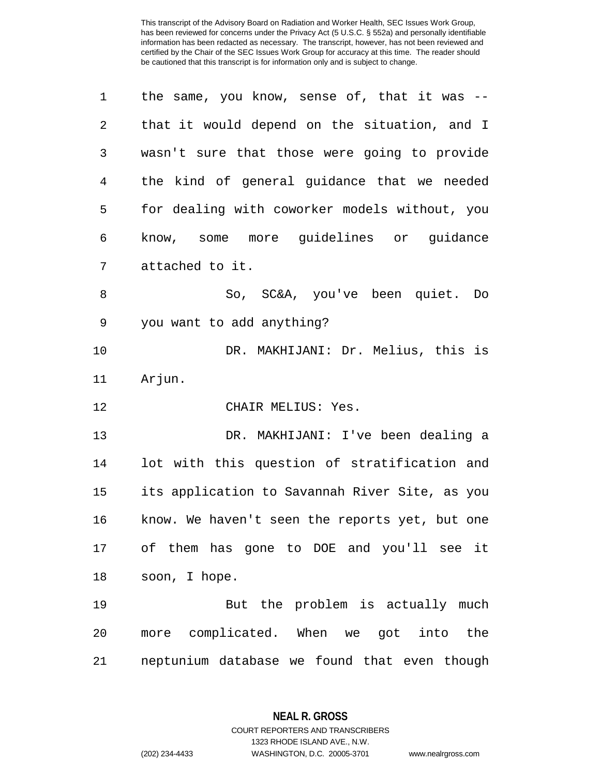| 1              | the same, you know, sense of, that it was --   |
|----------------|------------------------------------------------|
| $\overline{2}$ | that it would depend on the situation, and I   |
| 3              | wasn't sure that those were going to provide   |
| 4              | the kind of general guidance that we needed    |
| 5              | for dealing with coworker models without, you  |
| 6              | know, some more guidelines or guidance         |
| 7              | attached to it.                                |
| 8              | So, SC&A, you've been quiet. Do                |
| 9              | you want to add anything?                      |
| 10             | DR. MAKHIJANI: Dr. Melius, this is             |
| 11             | Arjun.                                         |
| 12             | CHAIR MELIUS: Yes.                             |
| 13             | DR. MAKHIJANI: I've been dealing a             |
| 14             | lot with this question of stratification and   |
| 15             | its application to Savannah River Site, as you |
| 16             | know. We haven't seen the reports yet, but one |
| 17             | of them has gone to DOE and you'll see it      |
| 18             | soon, I hope.                                  |
| 19             | But the problem is actually much               |
| 20             | more complicated. When we got into the         |
| 21             | neptunium database we found that even though   |

**NEAL R. GROSS**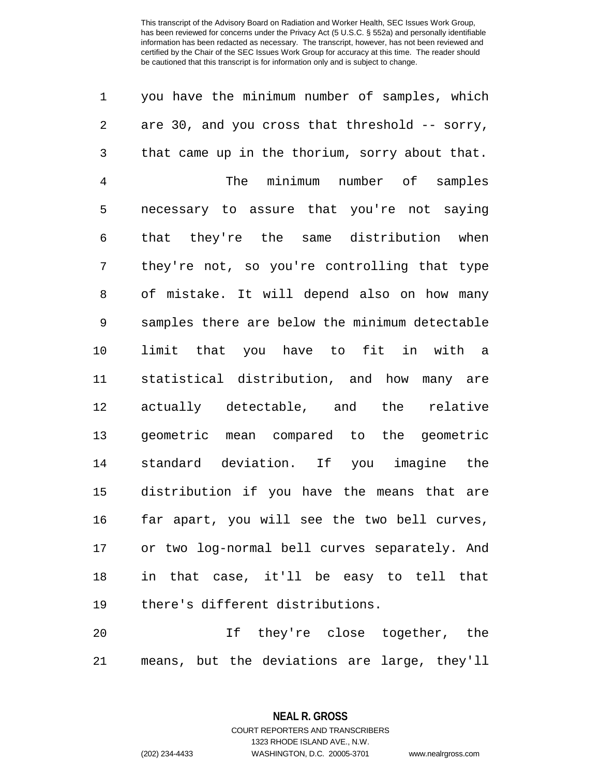you have the minimum number of samples, which are 30, and you cross that threshold -- sorry, that came up in the thorium, sorry about that. The minimum number of samples necessary to assure that you're not saying that they're the same distribution when they're not, so you're controlling that type of mistake. It will depend also on how many samples there are below the minimum detectable limit that you have to fit in with a statistical distribution, and how many are actually detectable, and the relative geometric mean compared to the geometric standard deviation. If you imagine the distribution if you have the means that are far apart, you will see the two bell curves, or two log-normal bell curves separately. And in that case, it'll be easy to tell that there's different distributions. If they're close together, the

means, but the deviations are large, they'll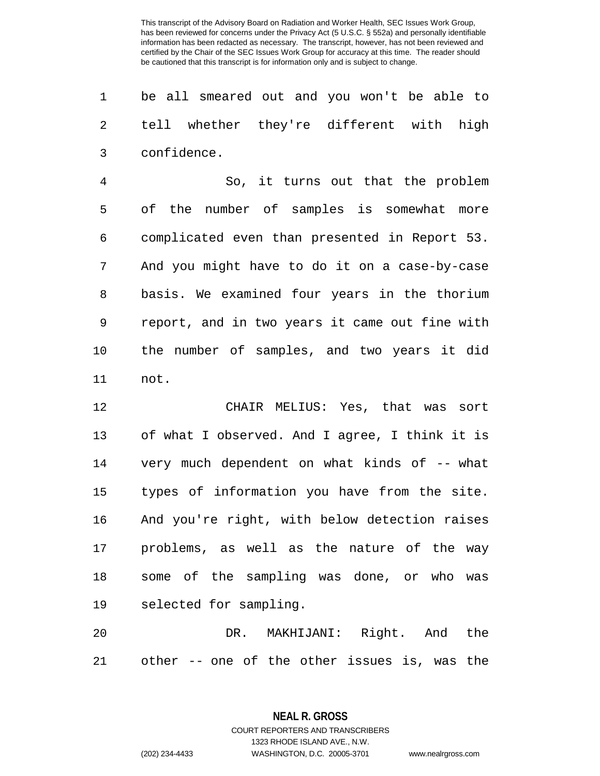be all smeared out and you won't be able to tell whether they're different with high confidence.

 So, it turns out that the problem of the number of samples is somewhat more complicated even than presented in Report 53. And you might have to do it on a case-by-case basis. We examined four years in the thorium report, and in two years it came out fine with the number of samples, and two years it did not.

 CHAIR MELIUS: Yes, that was sort of what I observed. And I agree, I think it is very much dependent on what kinds of -- what types of information you have from the site. And you're right, with below detection raises problems, as well as the nature of the way some of the sampling was done, or who was selected for sampling.

 DR. MAKHIJANI: Right. And the other -- one of the other issues is, was the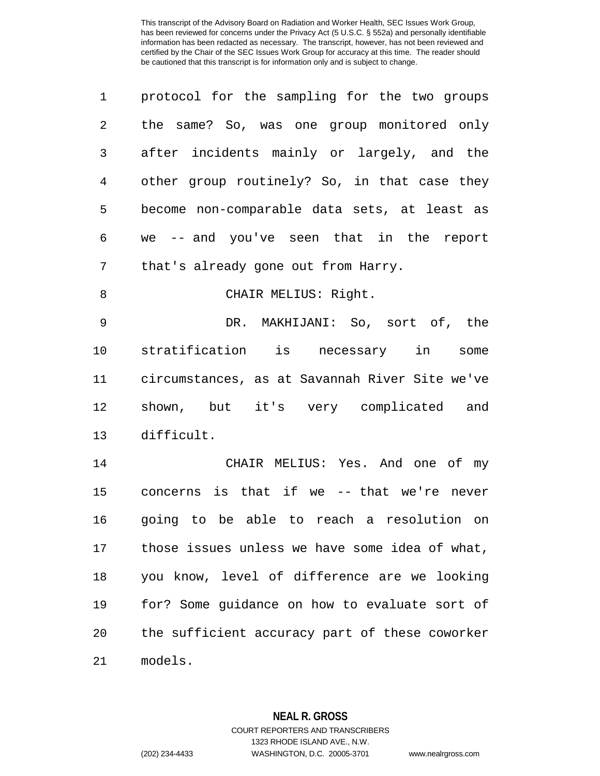| $\mathbf 1$    | protocol for the sampling for the two groups   |
|----------------|------------------------------------------------|
| $\overline{2}$ | the same? So, was one group monitored only     |
| 3              | after incidents mainly or largely, and the     |
| 4              | other group routinely? So, in that case they   |
| 5              | become non-comparable data sets, at least as   |
| 6              | we -- and you've seen that in the report       |
| 7              | that's already gone out from Harry.            |
| 8              | CHAIR MELIUS: Right.                           |
|                |                                                |
| 9              | DR. MAKHIJANI: So, sort of, the                |
| 10             | stratification is necessary in<br>some         |
| 11             | circumstances, as at Savannah River Site we've |
| 12             | shown, but it's very complicated<br>and        |
| 13             | difficult.                                     |
| 14             | CHAIR MELIUS: Yes. And one of my               |
| 15             | concerns is that if we -- that we're never     |

 concerns is that if we -- that we're never going to be able to reach a resolution on those issues unless we have some idea of what, you know, level of difference are we looking for? Some guidance on how to evaluate sort of the sufficient accuracy part of these coworker models.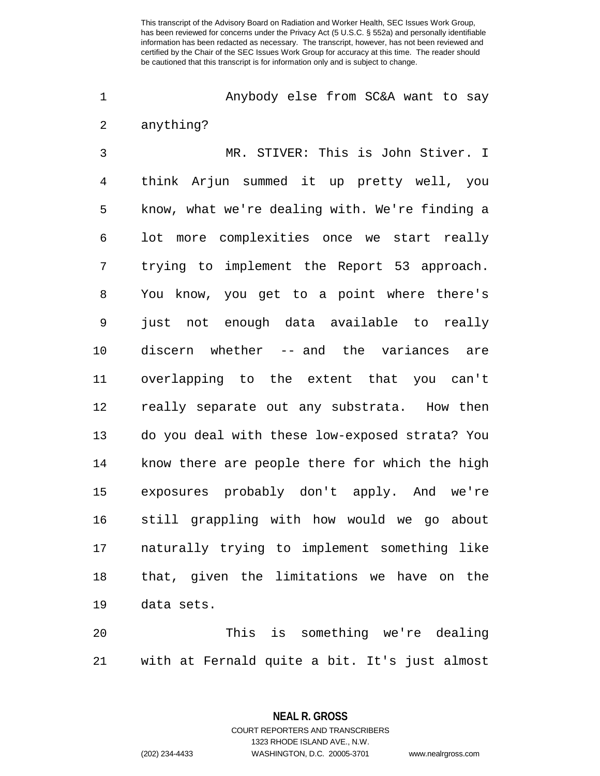Anybody else from SC&A want to say anything?

 MR. STIVER: This is John Stiver. I think Arjun summed it up pretty well, you know, what we're dealing with. We're finding a lot more complexities once we start really trying to implement the Report 53 approach. You know, you get to a point where there's just not enough data available to really discern whether -- and the variances are overlapping to the extent that you can't really separate out any substrata. How then do you deal with these low-exposed strata? You know there are people there for which the high exposures probably don't apply. And we're still grappling with how would we go about naturally trying to implement something like that, given the limitations we have on the data sets.

 This is something we're dealing with at Fernald quite a bit. It's just almost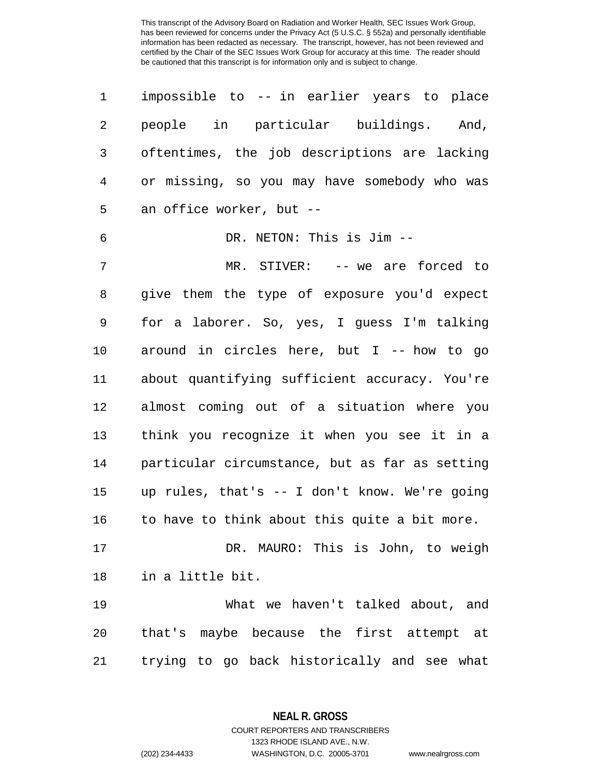| 1  | impossible to -- in earlier years to place     |
|----|------------------------------------------------|
| 2  | people in particular buildings. And,           |
| 3  | oftentimes, the job descriptions are lacking   |
| 4  | or missing, so you may have somebody who was   |
| 5  | an office worker, but --                       |
| 6  | DR. NETON: This is Jim --                      |
| 7  | MR. STIVER: -- we are forced to                |
| 8  | give them the type of exposure you'd expect    |
| 9  | for a laborer. So, yes, I guess I'm talking    |
| 10 | around in circles here, but I -- how to go     |
| 11 | about quantifying sufficient accuracy. You're  |
| 12 | almost coming out of a situation where you     |
| 13 | think you recognize it when you see it in a    |
| 14 | particular circumstance, but as far as setting |
| 15 | up rules, that's -- I don't know. We're going  |
| 16 | to have to think about this quite a bit more.  |
| 17 | DR. MAURO: This is John, to weigh              |
| 18 | in a little bit.                               |
| 19 | What we haven't talked about, and              |
| 20 | that's maybe because the first attempt at      |
| 21 | trying to go back historically and see what    |

**NEAL R. GROSS** COURT REPORTERS AND TRANSCRIBERS

1323 RHODE ISLAND AVE., N.W.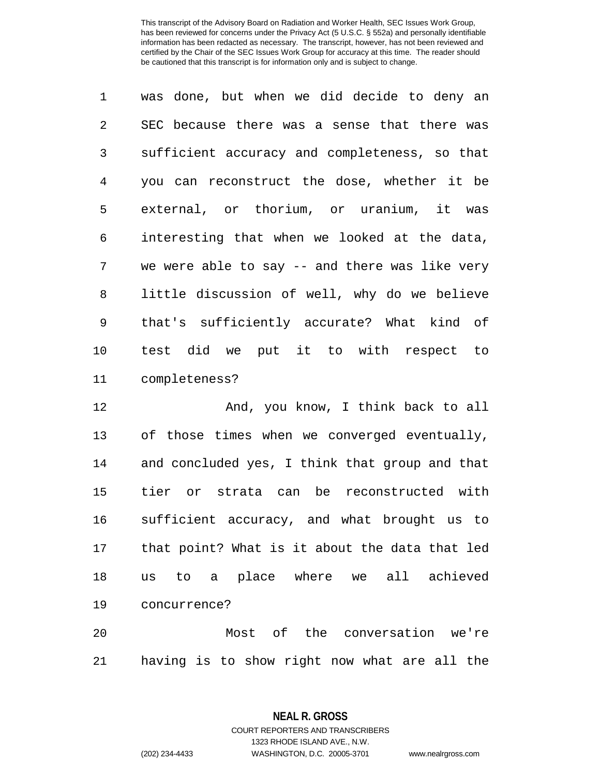was done, but when we did decide to deny an SEC because there was a sense that there was sufficient accuracy and completeness, so that you can reconstruct the dose, whether it be external, or thorium, or uranium, it was interesting that when we looked at the data, we were able to say -- and there was like very little discussion of well, why do we believe that's sufficiently accurate? What kind of test did we put it to with respect to completeness?

12 And, you know, I think back to all of those times when we converged eventually, and concluded yes, I think that group and that tier or strata can be reconstructed with sufficient accuracy, and what brought us to that point? What is it about the data that led us to a place where we all achieved concurrence?

 Most of the conversation we're having is to show right now what are all the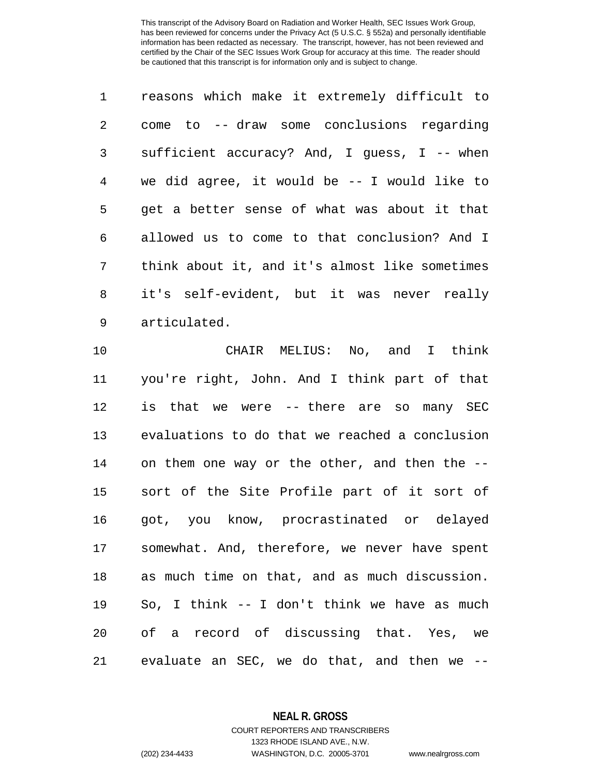reasons which make it extremely difficult to come to -- draw some conclusions regarding sufficient accuracy? And, I guess, I -- when we did agree, it would be -- I would like to get a better sense of what was about it that allowed us to come to that conclusion? And I think about it, and it's almost like sometimes it's self-evident, but it was never really articulated.

 CHAIR MELIUS: No, and I think you're right, John. And I think part of that is that we were -- there are so many SEC evaluations to do that we reached a conclusion 14 on them one way or the other, and then the -- sort of the Site Profile part of it sort of got, you know, procrastinated or delayed somewhat. And, therefore, we never have spent as much time on that, and as much discussion. So, I think -- I don't think we have as much of a record of discussing that. Yes, we evaluate an SEC, we do that, and then we --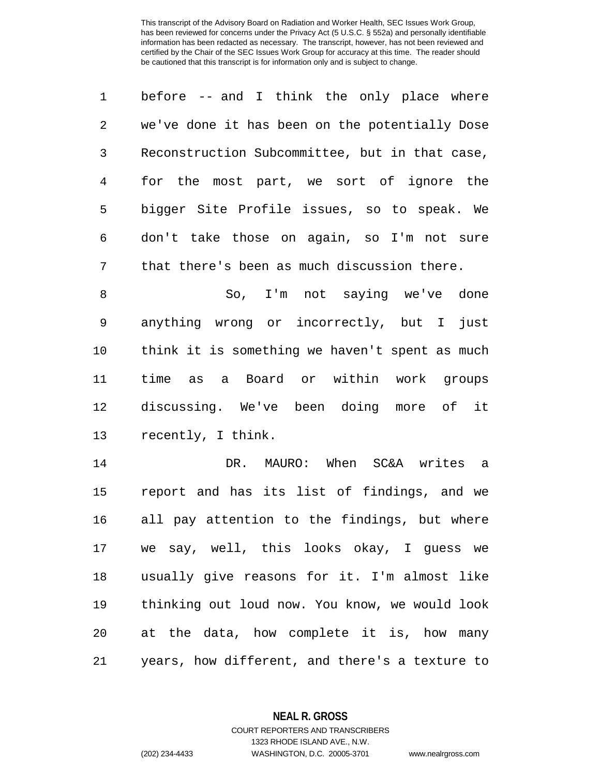|   | before -- and I think the only place where     |
|---|------------------------------------------------|
| 2 | we've done it has been on the potentially Dose |
| 3 | Reconstruction Subcommittee, but in that case, |
| 4 | for the most part, we sort of ignore the       |
| 5 | bigger Site Profile issues, so to speak. We    |
| 6 | don't take those on again, so I'm not sure     |
| 7 | that there's been as much discussion there.    |

 So, I'm not saying we've done anything wrong or incorrectly, but I just think it is something we haven't spent as much time as a Board or within work groups discussing. We've been doing more of it recently, I think.

 DR. MAURO: When SC&A writes a report and has its list of findings, and we all pay attention to the findings, but where we say, well, this looks okay, I guess we usually give reasons for it. I'm almost like thinking out loud now. You know, we would look at the data, how complete it is, how many years, how different, and there's a texture to

> **NEAL R. GROSS** COURT REPORTERS AND TRANSCRIBERS

> > 1323 RHODE ISLAND AVE., N.W.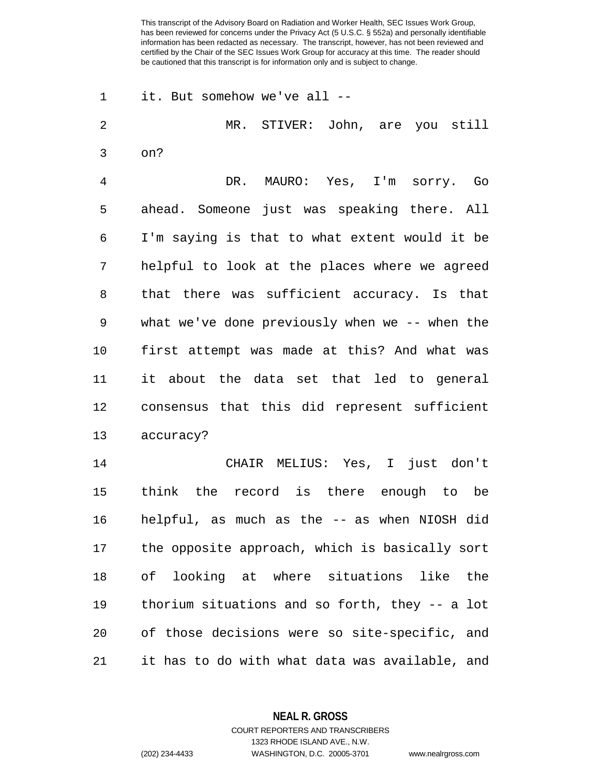it. But somehow we've all -- MR. STIVER: John, are you still on? DR. MAURO: Yes, I'm sorry. Go ahead. Someone just was speaking there. All I'm saying is that to what extent would it be helpful to look at the places where we agreed that there was sufficient accuracy. Is that what we've done previously when we -- when the first attempt was made at this? And what was it about the data set that led to general consensus that this did represent sufficient accuracy? CHAIR MELIUS: Yes, I just don't think the record is there enough to be helpful, as much as the -- as when NIOSH did the opposite approach, which is basically sort of looking at where situations like the thorium situations and so forth, they -- a lot of those decisions were so site-specific, and it has to do with what data was available, and

**NEAL R. GROSS**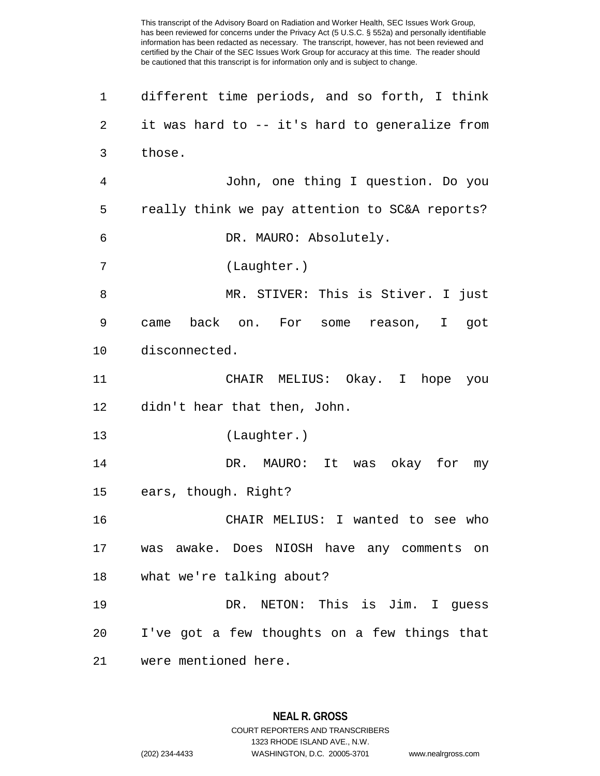different time periods, and so forth, I think it was hard to -- it's hard to generalize from those. John, one thing I question. Do you really think we pay attention to SC&A reports? DR. MAURO: Absolutely. (Laughter.) MR. STIVER: This is Stiver. I just came back on. For some reason, I got disconnected. CHAIR MELIUS: Okay. I hope you didn't hear that then, John. (Laughter.) DR. MAURO: It was okay for my ears, though. Right? CHAIR MELIUS: I wanted to see who was awake. Does NIOSH have any comments on what we're talking about? DR. NETON: This is Jim. I guess I've got a few thoughts on a few things that were mentioned here.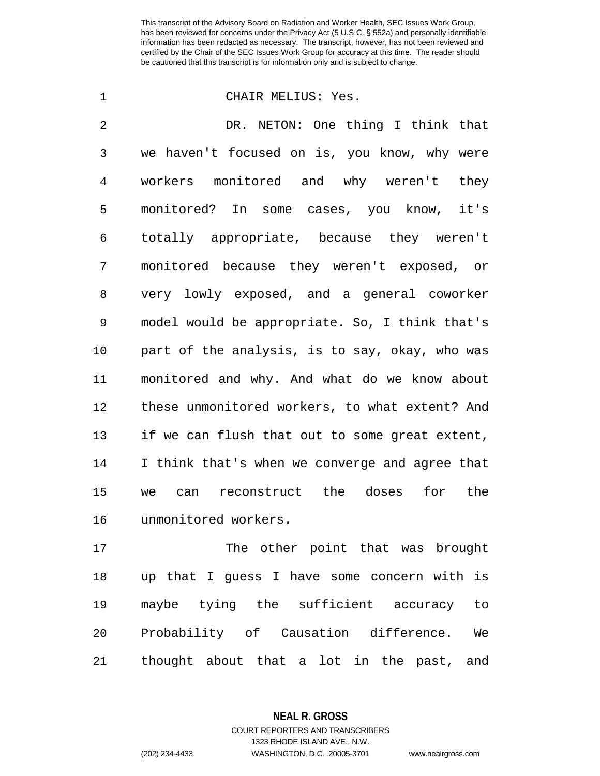## CHAIR MELIUS: Yes.

 DR. NETON: One thing I think that we haven't focused on is, you know, why were workers monitored and why weren't they monitored? In some cases, you know, it's totally appropriate, because they weren't monitored because they weren't exposed, or very lowly exposed, and a general coworker model would be appropriate. So, I think that's part of the analysis, is to say, okay, who was monitored and why. And what do we know about these unmonitored workers, to what extent? And if we can flush that out to some great extent, I think that's when we converge and agree that we can reconstruct the doses for the unmonitored workers.

17 The other point that was brought up that I guess I have some concern with is maybe tying the sufficient accuracy to Probability of Causation difference. We thought about that a lot in the past, and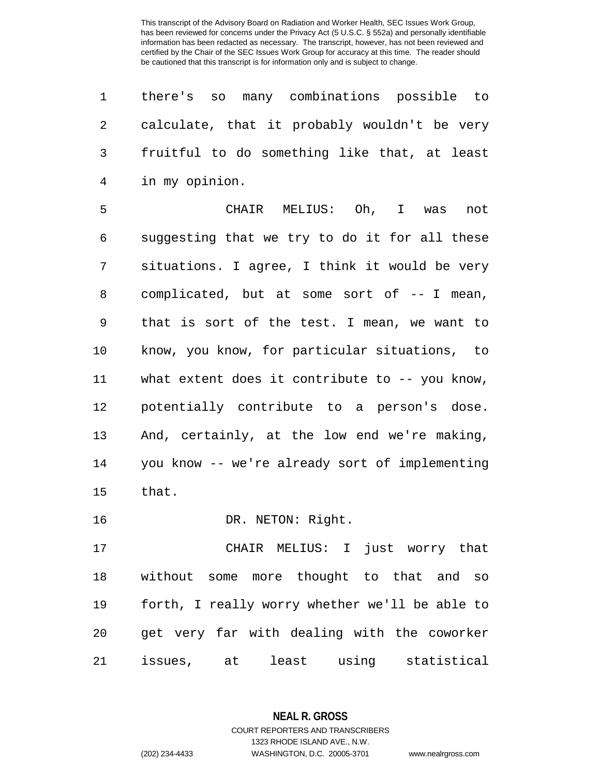|              |                  | 1 there's so many combinations possible to     |
|--------------|------------------|------------------------------------------------|
| $\mathbf{2}$ |                  | calculate, that it probably wouldn't be very   |
|              |                  | 3 fruitful to do something like that, at least |
|              | 4 in my opinion. |                                                |

 CHAIR MELIUS: Oh, I was not suggesting that we try to do it for all these situations. I agree, I think it would be very 8 complicated, but at some sort of -- I mean, that is sort of the test. I mean, we want to know, you know, for particular situations, to what extent does it contribute to -- you know, potentially contribute to a person's dose. And, certainly, at the low end we're making, you know -- we're already sort of implementing that.

16 DR. NETON: Right.

 CHAIR MELIUS: I just worry that without some more thought to that and so forth, I really worry whether we'll be able to get very far with dealing with the coworker issues, at least using statistical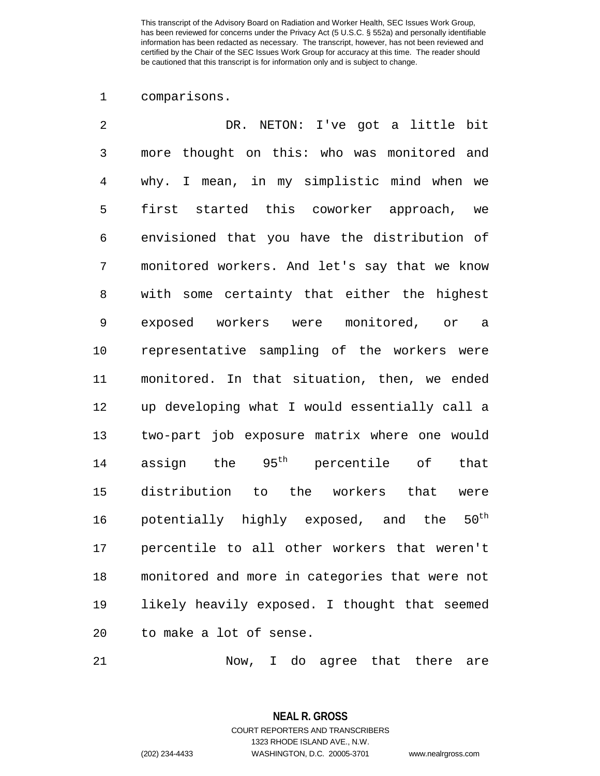comparisons.

| 2              | DR. NETON: I've got a little bit                     |
|----------------|------------------------------------------------------|
| $\mathfrak{Z}$ | thought on this: who was monitored and<br>more       |
| $\overline{4}$ | why. I mean, in my simplistic mind when we           |
| 5              | first started this coworker approach, we             |
| 6              | envisioned that you have the distribution of         |
| 7              | monitored workers. And let's say that we know        |
| 8              | with some certainty that either the highest          |
| 9              | exposed workers were monitored, or a                 |
| 10             | representative sampling of the workers were          |
| 11             | monitored. In that situation, then, we ended         |
| 12             | up developing what I would essentially call a        |
| 13             | two-part job exposure matrix where one would         |
| 14             | assign the 95 <sup>th</sup><br>percentile of that    |
| 15             | distribution to the workers that<br>were             |
| 16             | potentially highly exposed, and the 50 <sup>th</sup> |
| 17             | percentile to all other workers that weren't         |
| 18             | monitored and more in categories that were not       |
| 19             | likely heavily exposed. I thought that seemed        |
| 20             | to make a lot of sense.                              |

Now, I do agree that there are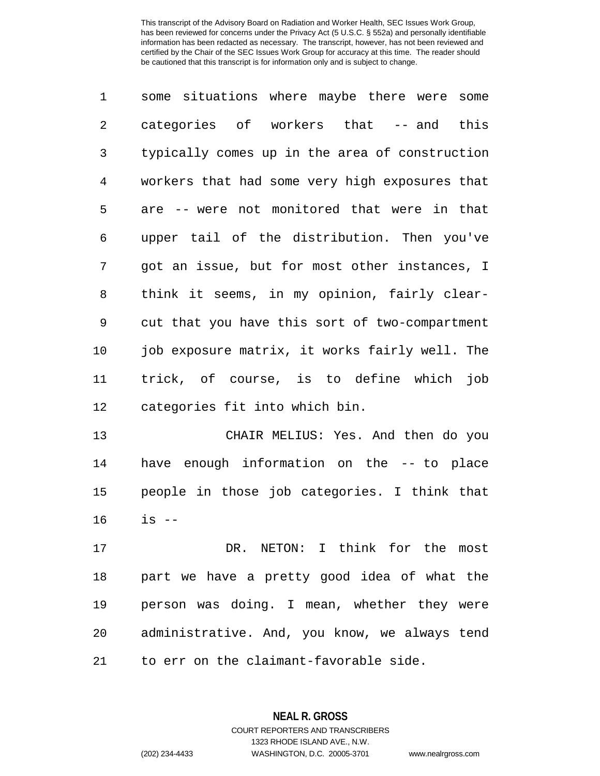some situations where maybe there were some categories of workers that -- and this typically comes up in the area of construction workers that had some very high exposures that are -- were not monitored that were in that upper tail of the distribution. Then you've got an issue, but for most other instances, I think it seems, in my opinion, fairly clear- cut that you have this sort of two-compartment job exposure matrix, it works fairly well. The trick, of course, is to define which job categories fit into which bin.

 CHAIR MELIUS: Yes. And then do you have enough information on the -- to place people in those job categories. I think that is --

 DR. NETON: I think for the most part we have a pretty good idea of what the person was doing. I mean, whether they were administrative. And, you know, we always tend to err on the claimant-favorable side.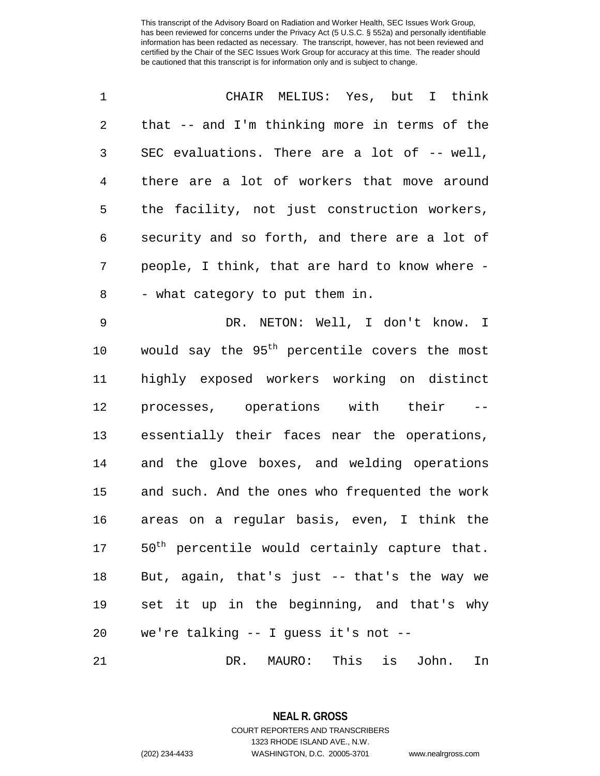| 1              | CHAIR MELIUS: Yes, but I think                            |
|----------------|-----------------------------------------------------------|
| $\overline{c}$ | that -- and I'm thinking more in terms of the             |
| 3              | SEC evaluations. There are a lot of -- well,              |
| $\overline{4}$ | there are a lot of workers that move around               |
| 5              | the facility, not just construction workers,              |
| 6              | security and so forth, and there are a lot of             |
| 7              | people, I think, that are hard to know where -            |
| 8              | - what category to put them in.                           |
| 9              | DR. NETON: Well, I don't know. I                          |
| 10             | would say the 95 <sup>th</sup> percentile covers the most |
| 11             | highly exposed workers working on distinct                |
| 12             | processes, operations with their --                       |
| 13             | essentially their faces near the operations,              |
| 14             | and the glove boxes, and welding operations               |
| 15             | and such. And the ones who frequented the work            |
| 16             | areas on a regular basis, even, I think the               |
| 17             | 50 <sup>th</sup> percentile would certainly capture that. |
| 18             | But, again, that's just -- that's the way we              |
| 19             | set it up in the beginning, and that's why                |
| 20             | we're talking -- I guess it's not --                      |
|                |                                                           |

DR. MAURO: This is John. In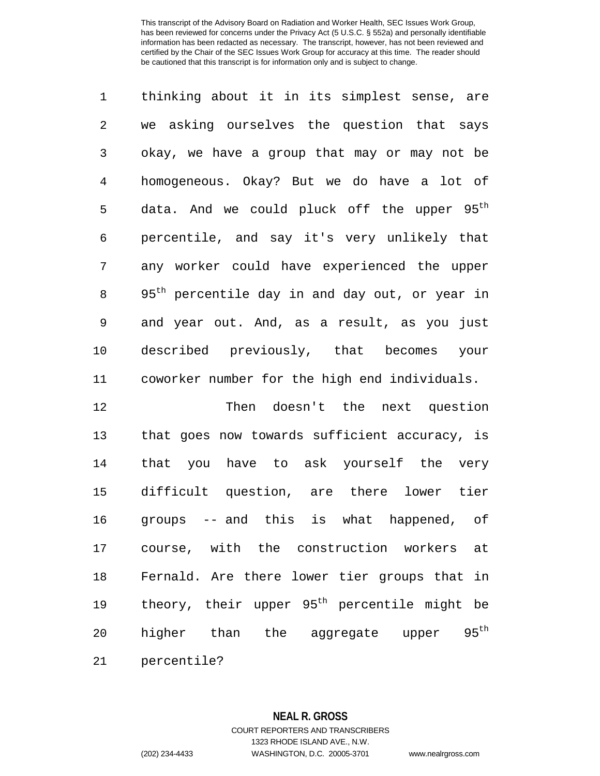thinking about it in its simplest sense, are we asking ourselves the question that says okay, we have a group that may or may not be homogeneous. Okay? But we do have a lot of 5 data. And we could pluck off the upper 95<sup>th</sup> percentile, and say it's very unlikely that any worker could have experienced the upper 8 95<sup>th</sup> percentile day in and day out, or year in and year out. And, as a result, as you just described previously, that becomes your coworker number for the high end individuals.

 Then doesn't the next question that goes now towards sufficient accuracy, is that you have to ask yourself the very difficult question, are there lower tier groups -- and this is what happened, of course, with the construction workers at Fernald. Are there lower tier groups that in 19 theory, their upper  $95<sup>th</sup>$  percentile might be 20 higher than the aggregate upper  $95<sup>th</sup>$ percentile?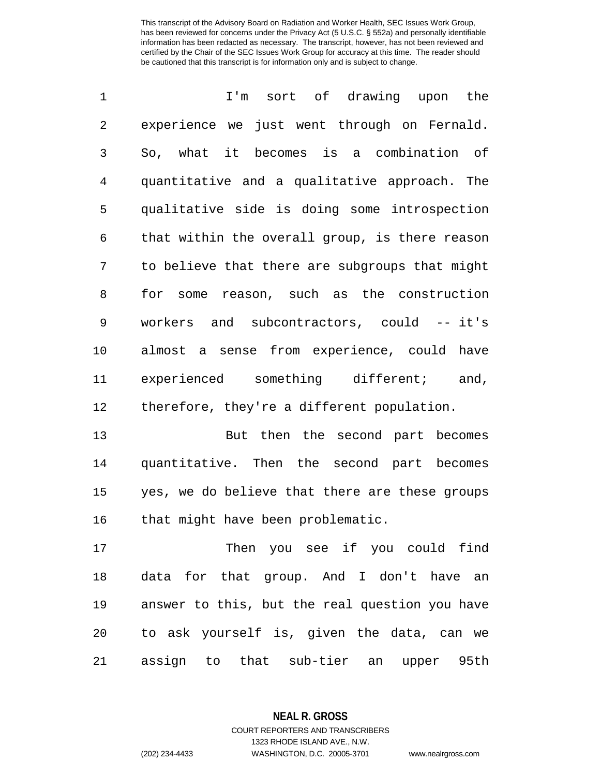| $\mathbf 1$    | I'm sort of drawing upon the                   |
|----------------|------------------------------------------------|
| $\overline{2}$ | experience we just went through on Fernald.    |
| 3              | So, what it becomes is a combination of        |
| $\overline{4}$ | quantitative and a qualitative approach. The   |
| 5              | qualitative side is doing some introspection   |
| 6              | that within the overall group, is there reason |
| 7              | to believe that there are subgroups that might |
| 8              | for some reason, such as the construction      |
| 9              | workers and subcontractors, could -- it's      |
| 10             | almost a sense from experience, could have     |
| 11             | experienced something different; and,          |
| 12             | therefore, they're a different population.     |

13 But then the second part becomes quantitative. Then the second part becomes yes, we do believe that there are these groups that might have been problematic.

 Then you see if you could find data for that group. And I don't have an answer to this, but the real question you have to ask yourself is, given the data, can we assign to that sub-tier an upper 95th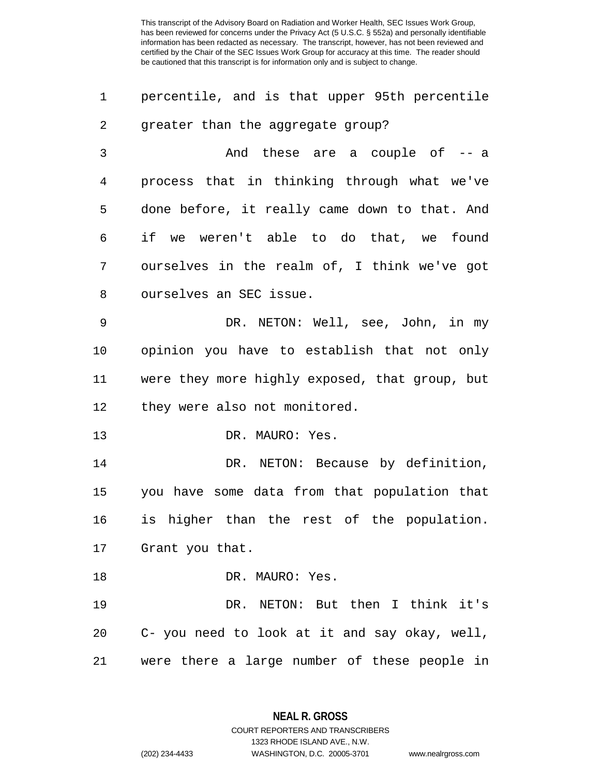| percentile, and is that upper 95th percentile |  |  |  |
|-----------------------------------------------|--|--|--|
| greater than the aggregate group?             |  |  |  |

 And these are a couple of -- a process that in thinking through what we've done before, it really came down to that. And if we weren't able to do that, we found ourselves in the realm of, I think we've got ourselves an SEC issue.

 DR. NETON: Well, see, John, in my opinion you have to establish that not only were they more highly exposed, that group, but they were also not monitored.

13 DR. MAURO: Yes.

14 DR. NETON: Because by definition, you have some data from that population that is higher than the rest of the population. Grant you that.

18 DR. MAURO: Yes.

19 DR. NETON: But then I think it's 20 C- you need to look at it and say okay, well, 21 were there a large number of these people in

> **NEAL R. GROSS** COURT REPORTERS AND TRANSCRIBERS

> > 1323 RHODE ISLAND AVE., N.W.

(202) 234-4433 WASHINGTON, D.C. 20005-3701 www.nealrgross.com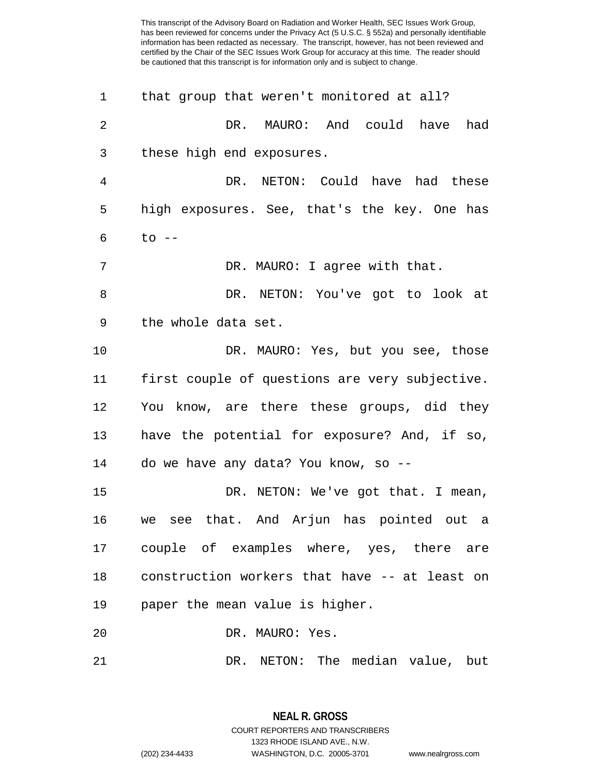| 1  | that group that weren't monitored at all?      |
|----|------------------------------------------------|
| 2  | MAURO: And could have<br>DR.<br>had            |
| 3  | these high end exposures.                      |
| 4  | DR. NETON: Could have had these                |
| 5  | high exposures. See, that's the key. One has   |
| 6  | $to$ $--$                                      |
| 7  | DR. MAURO: I agree with that.                  |
| 8  | DR. NETON: You've got to look at               |
| 9  | the whole data set.                            |
| 10 | DR. MAURO: Yes, but you see, those             |
| 11 | first couple of questions are very subjective. |
| 12 | You know, are there these groups, did they     |
| 13 | have the potential for exposure? And, if so,   |
| 14 | do we have any data? You know, so --           |
| 15 | DR. NETON: We've got that. I mean,             |
| 16 | we see that. And Arjun has pointed out a       |
| 17 | couple of examples where, yes, there are       |
| 18 | construction workers that have -- at least on  |
| 19 | paper the mean value is higher.                |
| 20 | DR. MAURO: Yes.                                |
| 21 | DR. NETON: The median value, but               |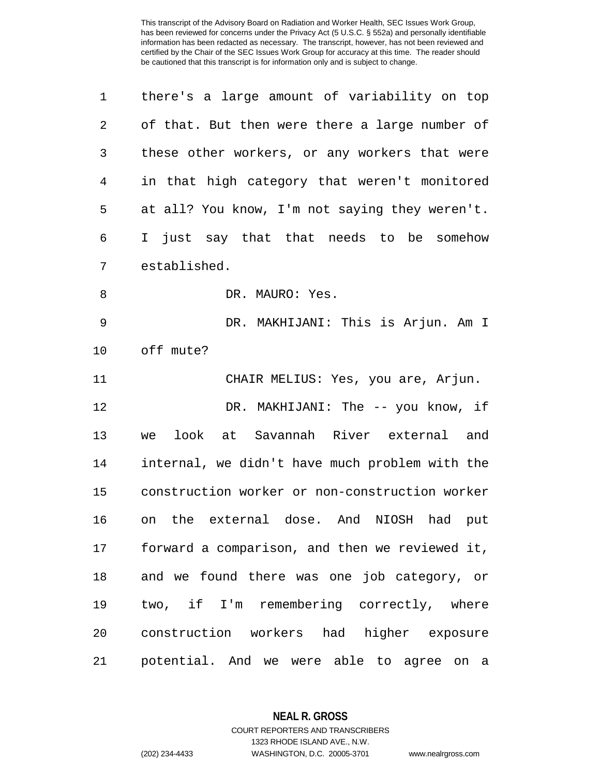| 1  | there's a large amount of variability on top   |
|----|------------------------------------------------|
| 2  | of that. But then were there a large number of |
| 3  | these other workers, or any workers that were  |
| 4  | in that high category that weren't monitored   |
| 5  | at all? You know, I'm not saying they weren't. |
| 6  | I just say that that needs to be somehow       |
| 7  | established.                                   |
| 8  | DR. MAURO: Yes.                                |
| 9  | DR. MAKHIJANI: This is Arjun. Am I             |
| 10 | off mute?                                      |
| 11 | CHAIR MELIUS: Yes, you are, Arjun.             |
| 12 | DR. MAKHIJANI: The -- you know, if             |
| 13 | look at<br>Savannah River external and<br>we   |
| 14 | internal, we didn't have much problem with the |
| 15 | construction worker or non-construction worker |
| 16 | on the external dose. And NIOSH<br>had put     |
| 17 | forward a comparison, and then we reviewed it, |
| 18 | and we found there was one job category, or    |
| 19 | two, if I'm remembering correctly, where       |
| 20 | construction workers had higher exposure       |
| 21 | potential. And we were able to agree on a      |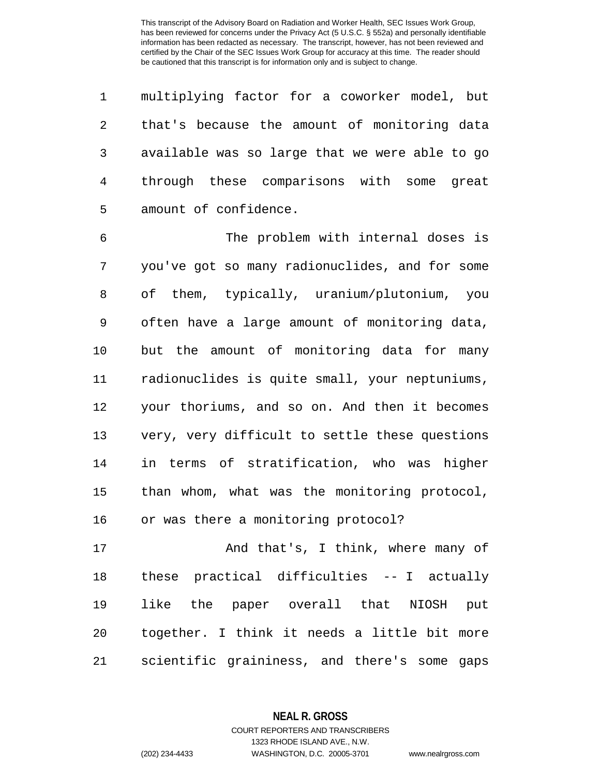multiplying factor for a coworker model, but that's because the amount of monitoring data available was so large that we were able to go through these comparisons with some great amount of confidence.

 The problem with internal doses is you've got so many radionuclides, and for some of them, typically, uranium/plutonium, you often have a large amount of monitoring data, but the amount of monitoring data for many radionuclides is quite small, your neptuniums, your thoriums, and so on. And then it becomes very, very difficult to settle these questions in terms of stratification, who was higher than whom, what was the monitoring protocol, or was there a monitoring protocol?

 And that's, I think, where many of these practical difficulties -- I actually like the paper overall that NIOSH put together. I think it needs a little bit more scientific graininess, and there's some gaps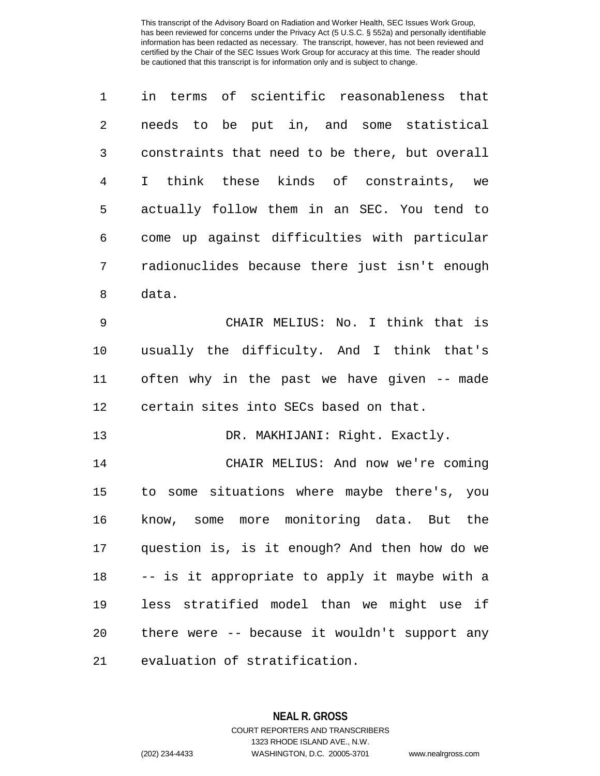| $\mathbf 1$    | in terms of scientific reasonableness that           |
|----------------|------------------------------------------------------|
| $\overline{2}$ | needs to be put in, and some statistical             |
| 3              | constraints that need to be there, but overall       |
| $\overline{4}$ | think these kinds of constraints, we<br>$\mathbf{I}$ |
| 5              | actually follow them in an SEC. You tend to          |
| 6              | come up against difficulties with particular         |
| 7              | radionuclides because there just isn't enough        |
| 8              | data.                                                |
| 9              | CHAIR MELIUS: No. I think that is                    |
| 10             | usually the difficulty. And I think that's           |
| 11             | often why in the past we have given -- made          |
| 12             | certain sites into SECs based on that.               |
| 13             | DR. MAKHIJANI: Right. Exactly.                       |
| 14             | CHAIR MELIUS: And now we're coming                   |
| 15             | to some situations where maybe there's, you          |
| 16             | know, some more monitoring data. But the             |
| 17             | question is, is it enough? And then how do we        |
| 18             | -- is it appropriate to apply it maybe with a        |
| 19             | less stratified model than we might use if           |
| 20             | there were -- because it wouldn't support any        |
| 21             | evaluation of stratification.                        |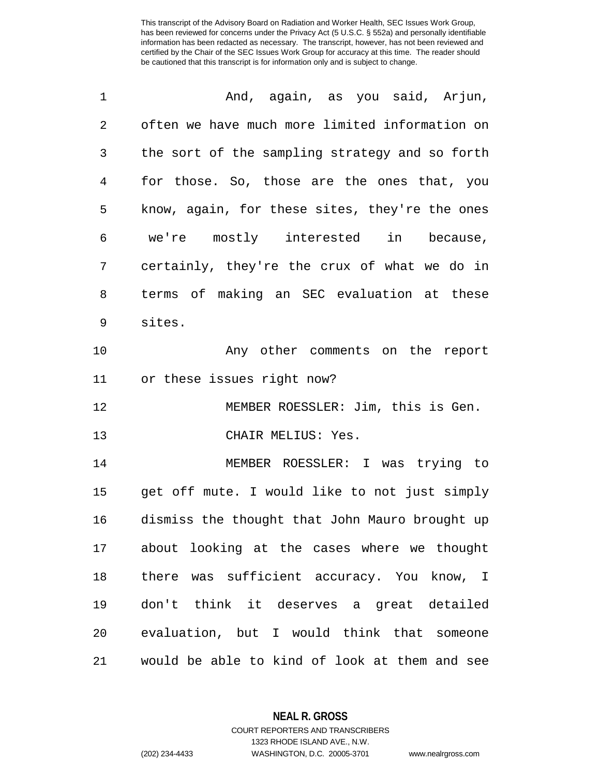| 1  | And, again, as you said, Arjun,                |
|----|------------------------------------------------|
| 2  | often we have much more limited information on |
| 3  | the sort of the sampling strategy and so forth |
| 4  | for those. So, those are the ones that, you    |
| 5  | know, again, for these sites, they're the ones |
| 6  | we're mostly interested in because,            |
| 7  | certainly, they're the crux of what we do in   |
| 8  | terms of making an SEC evaluation at these     |
| 9  | sites.                                         |
| 10 | Any other comments on the report               |
| 11 | or these issues right now?                     |
| 12 | MEMBER ROESSLER: Jim, this is Gen.             |
| 13 | CHAIR MELIUS: Yes.                             |
| 14 | MEMBER ROESSLER: I was trying to               |
| 15 | get off mute. I would like to not just simply  |
| 16 | dismiss the thought that John Mauro brought up |
|    | 17 about looking at the cases where we thought |
| 18 | there was sufficient accuracy. You know, I     |
| 19 | don't think it deserves a great detailed       |
| 20 | evaluation, but I would think that someone     |
| 21 | would be able to kind of look at them and see  |

**NEAL R. GROSS**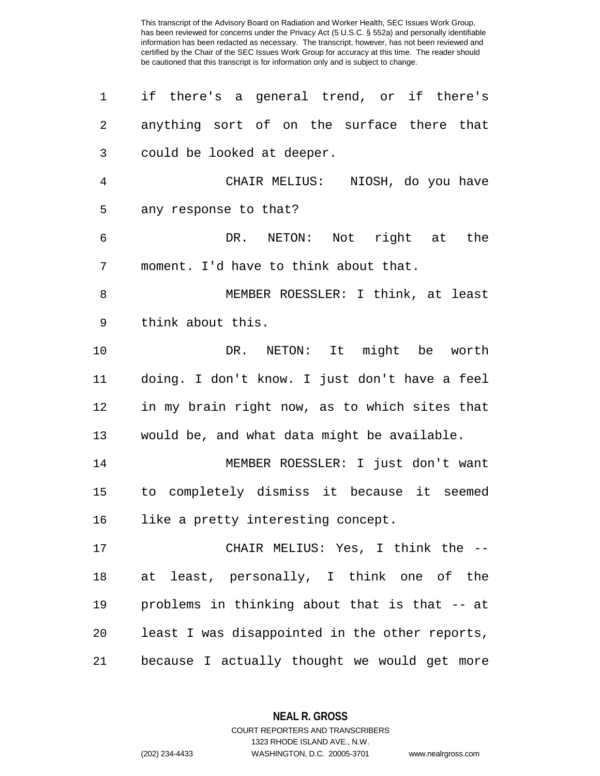| 1              | if there's a general trend, or if there's      |
|----------------|------------------------------------------------|
| $\overline{2}$ | anything sort of on the surface there that     |
| 3              | could be looked at deeper.                     |
| 4              | CHAIR MELIUS: NIOSH, do you have               |
| 5              | any response to that?                          |
| 6              | DR. NETON: Not right at the                    |
| 7              | moment. I'd have to think about that.          |
| 8              | MEMBER ROESSLER: I think, at least             |
| 9              | think about this.                              |
| 10             | DR. NETON: It might be worth                   |
| 11             | doing. I don't know. I just don't have a feel  |
| 12             | in my brain right now, as to which sites that  |
| 13             | would be, and what data might be available.    |
| 14             | MEMBER ROESSLER: I just don't want             |
| 15             | to completely dismiss it because it seemed     |
| 16             | like a pretty interesting concept.             |
| 17             | CHAIR MELIUS: Yes, I think the --              |
| 18             | at least, personally, I think one of the       |
| 19             | problems in thinking about that is that -- at  |
| 20             | least I was disappointed in the other reports, |
| 21             | because I actually thought we would get more   |

**NEAL R. GROSS** COURT REPORTERS AND TRANSCRIBERS

1323 RHODE ISLAND AVE., N.W.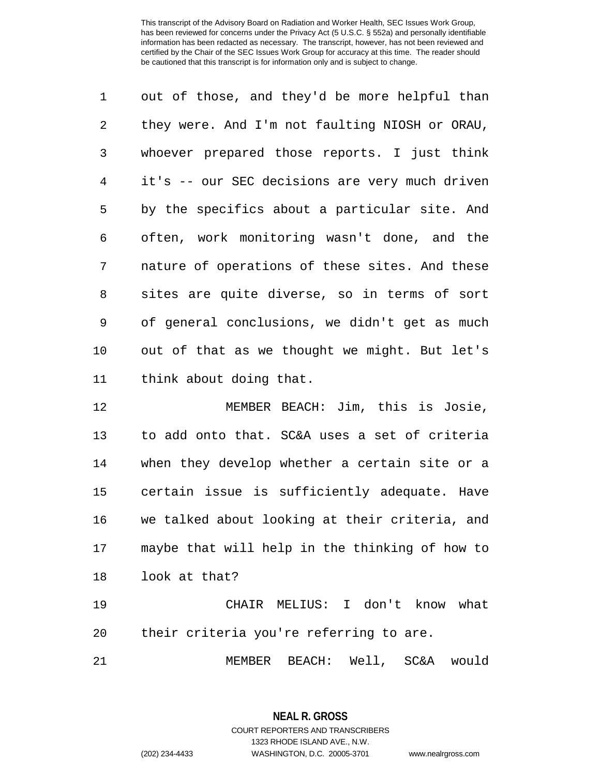out of those, and they'd be more helpful than they were. And I'm not faulting NIOSH or ORAU, whoever prepared those reports. I just think it's -- our SEC decisions are very much driven by the specifics about a particular site. And often, work monitoring wasn't done, and the nature of operations of these sites. And these sites are quite diverse, so in terms of sort of general conclusions, we didn't get as much out of that as we thought we might. But let's think about doing that.

 MEMBER BEACH: Jim, this is Josie, to add onto that. SC&A uses a set of criteria when they develop whether a certain site or a certain issue is sufficiently adequate. Have we talked about looking at their criteria, and maybe that will help in the thinking of how to look at that?

 CHAIR MELIUS: I don't know what their criteria you're referring to are.

MEMBER BEACH: Well, SC&A would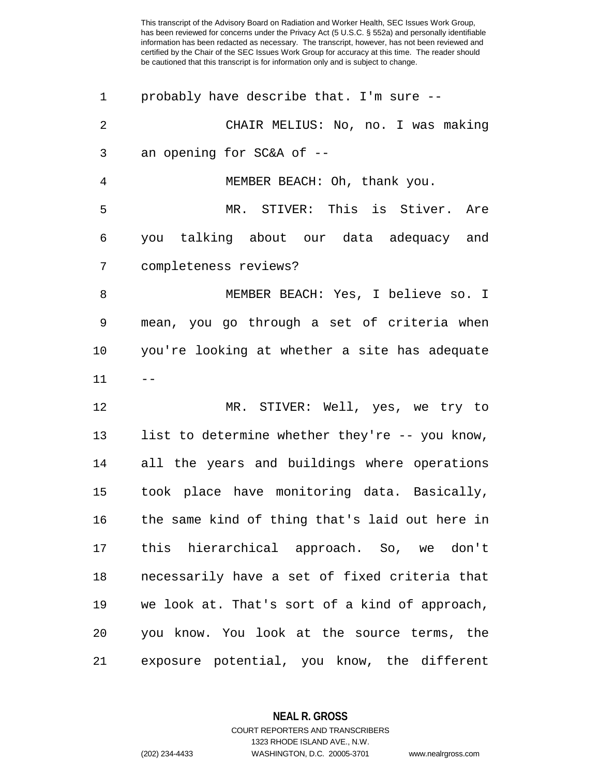| 1              | probably have describe that. I'm sure --       |
|----------------|------------------------------------------------|
| $\overline{2}$ | CHAIR MELIUS: No, no. I was making             |
| 3              | an opening for SC&A of --                      |
| 4              | MEMBER BEACH: Oh, thank you.                   |
| 5              | MR. STIVER: This is Stiver. Are                |
| 6              | you talking about our data adequacy and        |
| 7              | completeness reviews?                          |
| 8              | MEMBER BEACH: Yes, I believe so. I             |
| 9              | mean, you go through a set of criteria when    |
| $10 \,$        | you're looking at whether a site has adequate  |
| 11             |                                                |
| 12             | MR. STIVER: Well, yes, we try to               |
| 13             | list to determine whether they're -- you know, |
| 14             | all the years and buildings where operations   |
| 15             | took place have monitoring data. Basically,    |
| 16             | the same kind of thing that's laid out here in |
| 17             | this hierarchical approach. So, we don't       |
| 18             | necessarily have a set of fixed criteria that  |
| 19             | we look at. That's sort of a kind of approach, |
| 20             | you know. You look at the source terms, the    |
| 21             | exposure potential, you know, the different    |

**NEAL R. GROSS**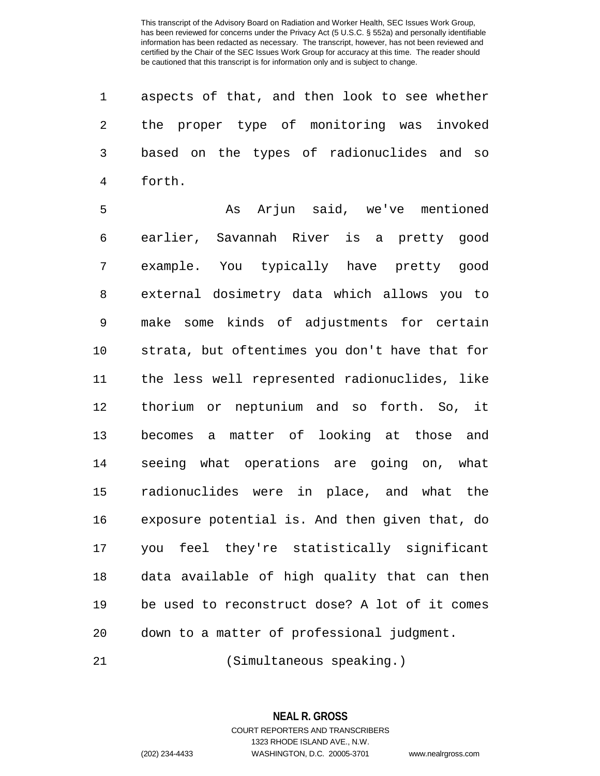aspects of that, and then look to see whether the proper type of monitoring was invoked based on the types of radionuclides and so forth.

 As Arjun said, we've mentioned earlier, Savannah River is a pretty good example. You typically have pretty good external dosimetry data which allows you to make some kinds of adjustments for certain strata, but oftentimes you don't have that for the less well represented radionuclides, like thorium or neptunium and so forth. So, it becomes a matter of looking at those and seeing what operations are going on, what radionuclides were in place, and what the exposure potential is. And then given that, do you feel they're statistically significant data available of high quality that can then be used to reconstruct dose? A lot of it comes down to a matter of professional judgment.

(Simultaneous speaking.)

**NEAL R. GROSS** COURT REPORTERS AND TRANSCRIBERS

1323 RHODE ISLAND AVE., N.W. (202) 234-4433 WASHINGTON, D.C. 20005-3701 www.nealrgross.com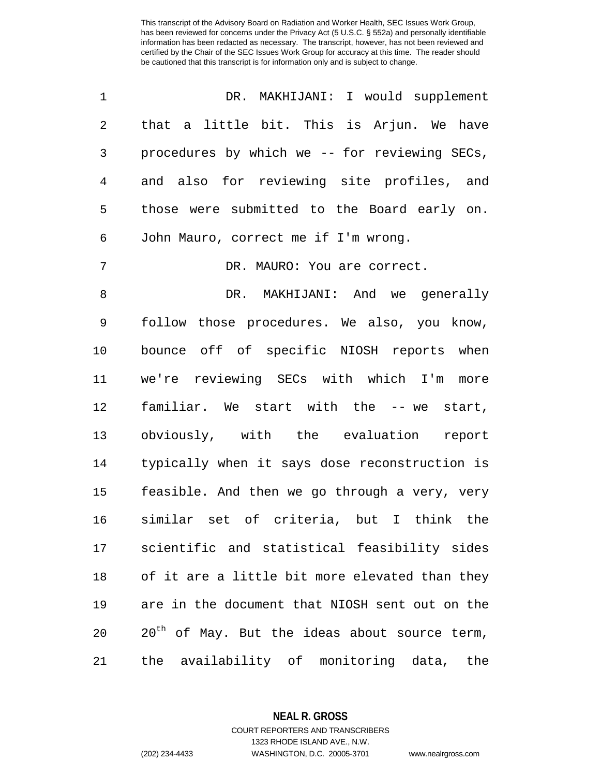| 1              | DR. MAKHIJANI: I would supplement                         |
|----------------|-----------------------------------------------------------|
| $\sqrt{2}$     | that a little bit. This is Arjun. We have                 |
| 3              | procedures by which we -- for reviewing SECs,             |
| $\overline{4}$ | and also for reviewing site profiles, and                 |
| 5              | those were submitted to the Board early on.               |
| 6              | John Mauro, correct me if I'm wrong.                      |
| 7              | DR. MAURO: You are correct.                               |
| 8              | DR. MAKHIJANI: And we generally                           |
| 9              | follow those procedures. We also, you know,               |
| 10             | bounce off of specific NIOSH reports when                 |
| 11             | we're reviewing SECs with which I'm<br>more               |
| 12             | familiar. We start with the -- we start,                  |
| 13             | obviously, with the evaluation<br>report                  |
| 14             | typically when it says dose reconstruction is             |
| 15             | feasible. And then we go through a very, very             |
| 16             | similar set of criteria, but I think the                  |
| 17             | scientific and statistical feasibility sides              |
| 18             | of it are a little bit more elevated than they            |
| 19             | are in the document that NIOSH sent out on the            |
| 20             | 20 <sup>th</sup> of May. But the ideas about source term, |
| 21             | the availability of monitoring data,<br>the               |

**NEAL R. GROSS**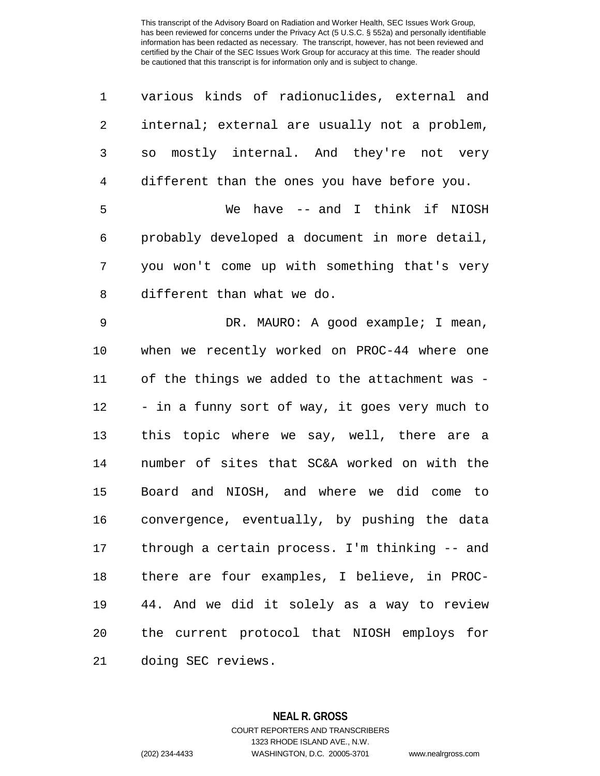| 1  | various kinds of radionuclides, external and   |
|----|------------------------------------------------|
| 2  | internal; external are usually not a problem,  |
| 3  | so mostly internal. And they're not very       |
| 4  | different than the ones you have before you.   |
| 5  | We have -- and I think if NIOSH                |
| 6  | probably developed a document in more detail,  |
| 7  | you won't come up with something that's very   |
| 8  | different than what we do.                     |
| 9  | DR. MAURO: A good example; I mean,             |
| 10 | when we recently worked on PROC-44 where one   |
| 11 | of the things we added to the attachment was - |
| 12 | - in a funny sort of way, it goes very much to |
| 13 | this topic where we say, well, there are a     |
| 14 | number of sites that SC&A worked on with the   |
| 15 | Board and NIOSH, and where we did come to      |
| 16 | convergence, eventually, by pushing the data   |
| 17 | through a certain process. I'm thinking -- and |
| 18 | there are four examples, I believe, in PROC-   |
| 19 | 44. And we did it solely as a way to review    |
| 20 | the current protocol that NIOSH employs for    |
| 21 | doing SEC reviews.                             |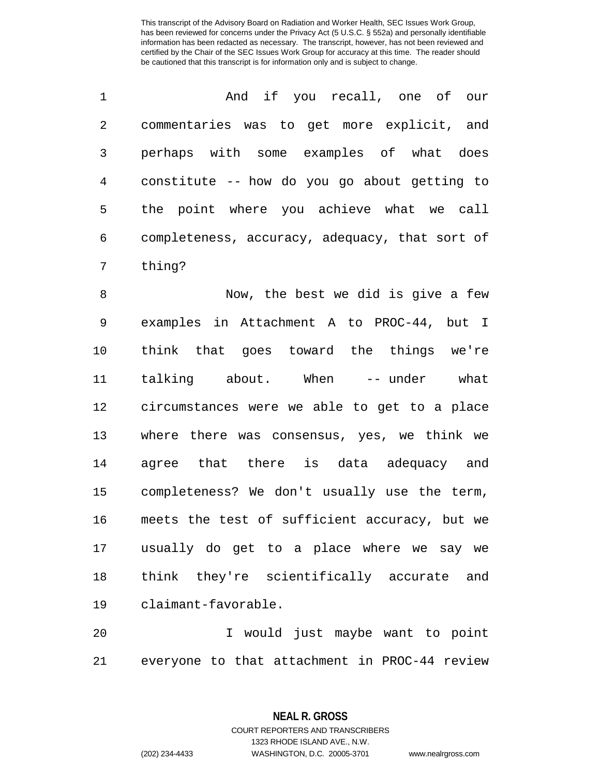| 1              | And if you recall, one of our                  |
|----------------|------------------------------------------------|
| $\overline{2}$ | commentaries was to get more explicit, and     |
| 3              | perhaps with some examples of what does        |
| 4              | constitute -- how do you go about getting to   |
| 5              | the point where you achieve what we call       |
| 6              | completeness, accuracy, adequacy, that sort of |
| 7              | thing?                                         |
| 8              | Now, the best we did is give a few             |
| 9              | examples in Attachment A to PROC-44, but I     |
| 10             | think that goes toward the things we're        |
| 11             | talking about. When -- under<br>what           |
| 12             | circumstances were we able to get to a place   |
| 13             | where there was consensus, yes, we think we    |
| 14             | agree that there is data adequacy and          |
| 15             | completeness? We don't usually use the term,   |
| 16             | meets the test of sufficient accuracy, but we  |
| 17             | usually do get to a place where we say we      |
| 18             | think they're scientifically accurate and      |
|                | 19 claimant-favorable.                         |

 I would just maybe want to point everyone to that attachment in PROC-44 review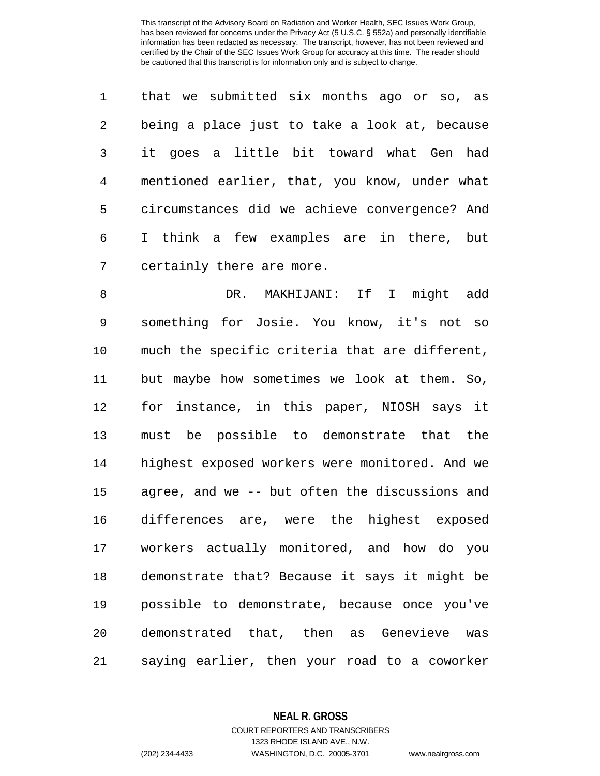|                 | that we submitted six months ago or so, as    |
|-----------------|-----------------------------------------------|
| $\overline{a}$  | being a place just to take a look at, because |
| $\mathbf{3}$    | it goes a little bit toward what Gen had      |
| $4\overline{ }$ | mentioned earlier, that, you know, under what |
| 5               | circumstances did we achieve convergence? And |
| 6               | I think a few examples are in there, but      |
| 7               | certainly there are more.                     |

 DR. MAKHIJANI: If I might add something for Josie. You know, it's not so much the specific criteria that are different, but maybe how sometimes we look at them. So, for instance, in this paper, NIOSH says it must be possible to demonstrate that the highest exposed workers were monitored. And we agree, and we -- but often the discussions and differences are, were the highest exposed workers actually monitored, and how do you demonstrate that? Because it says it might be possible to demonstrate, because once you've demonstrated that, then as Genevieve was saying earlier, then your road to a coworker

> **NEAL R. GROSS** COURT REPORTERS AND TRANSCRIBERS 1323 RHODE ISLAND AVE., N.W.

(202) 234-4433 WASHINGTON, D.C. 20005-3701 www.nealrgross.com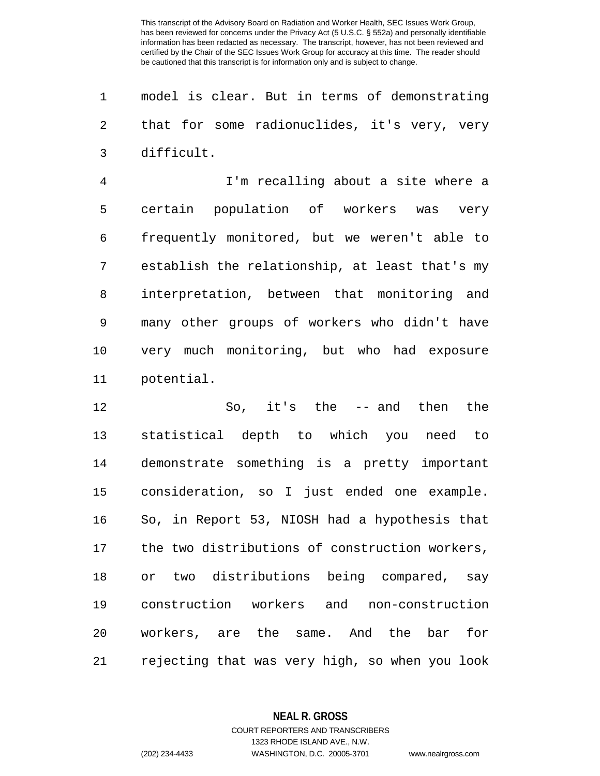model is clear. But in terms of demonstrating that for some radionuclides, it's very, very difficult.

 I'm recalling about a site where a certain population of workers was very frequently monitored, but we weren't able to establish the relationship, at least that's my interpretation, between that monitoring and many other groups of workers who didn't have very much monitoring, but who had exposure potential.

 So, it's the -- and then the statistical depth to which you need to demonstrate something is a pretty important consideration, so I just ended one example. So, in Report 53, NIOSH had a hypothesis that the two distributions of construction workers, or two distributions being compared, say construction workers and non-construction workers, are the same. And the bar for rejecting that was very high, so when you look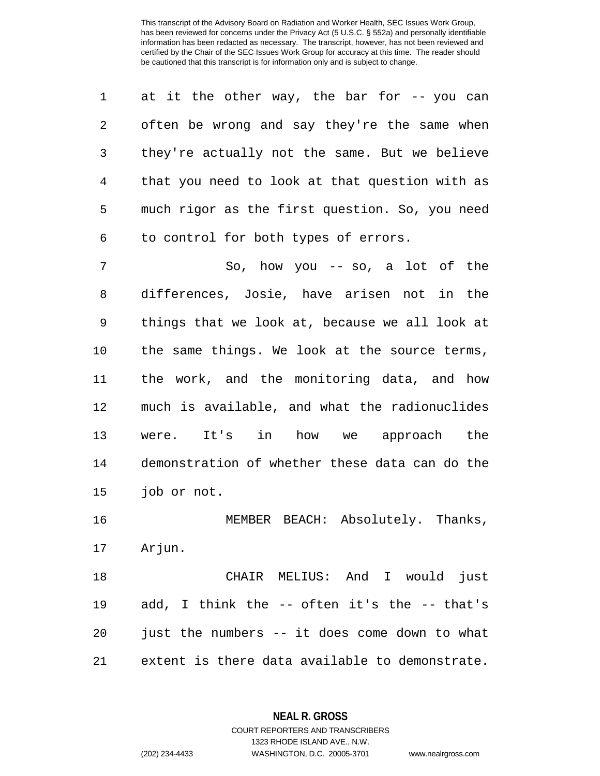|   | at it the other way, the bar for $-$ - you can |
|---|------------------------------------------------|
| 2 | often be wrong and say they're the same when   |
| 3 | they're actually not the same. But we believe  |
| 4 | that you need to look at that question with as |
| 5 | much rigor as the first question. So, you need |
| 6 | to control for both types of errors.           |

 So, how you -- so, a lot of the differences, Josie, have arisen not in the things that we look at, because we all look at the same things. We look at the source terms, the work, and the monitoring data, and how much is available, and what the radionuclides were. It's in how we approach the demonstration of whether these data can do the job or not.

16 MEMBER BEACH: Absolutely. Thanks, Arjun.

 CHAIR MELIUS: And I would just add, I think the -- often it's the -- that's just the numbers -- it does come down to what extent is there data available to demonstrate.

> **NEAL R. GROSS** COURT REPORTERS AND TRANSCRIBERS

> > 1323 RHODE ISLAND AVE., N.W.

(202) 234-4433 WASHINGTON, D.C. 20005-3701 www.nealrgross.com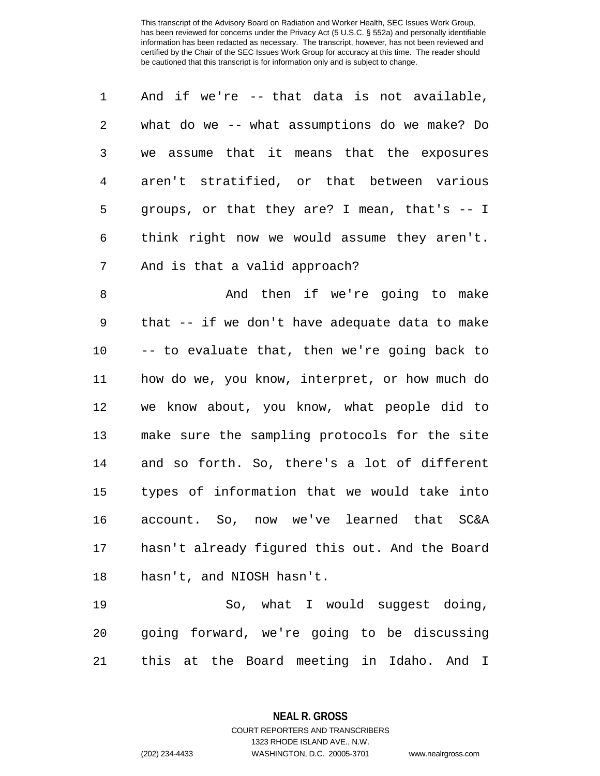| $\mathbf{1}$   | And if we're -- that data is not available,      |
|----------------|--------------------------------------------------|
| 2              | what do we -- what assumptions do we make? Do    |
| $\overline{3}$ | we assume that it means that the exposures       |
| 4              | aren't stratified, or that between various       |
| 5              | groups, or that they are? I mean, that's $-$ - I |
| 6              | think right now we would assume they aren't.     |
| 7              | And is that a valid approach?                    |

8 And then if we're going to make that -- if we don't have adequate data to make -- to evaluate that, then we're going back to how do we, you know, interpret, or how much do we know about, you know, what people did to make sure the sampling protocols for the site and so forth. So, there's a lot of different types of information that we would take into account. So, now we've learned that SC&A hasn't already figured this out. And the Board hasn't, and NIOSH hasn't.

 So, what I would suggest doing, going forward, we're going to be discussing this at the Board meeting in Idaho. And I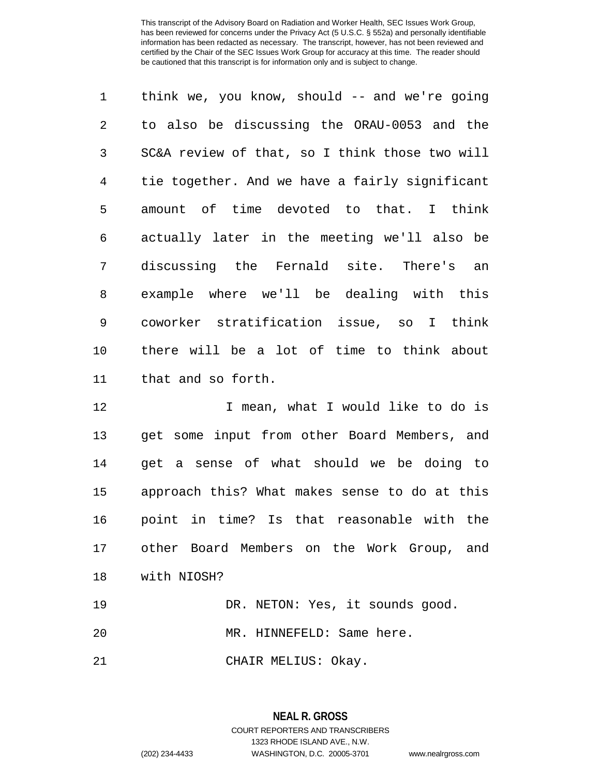think we, you know, should -- and we're going to also be discussing the ORAU-0053 and the SC&A review of that, so I think those two will tie together. And we have a fairly significant amount of time devoted to that. I think actually later in the meeting we'll also be discussing the Fernald site. There's an example where we'll be dealing with this coworker stratification issue, so I think there will be a lot of time to think about that and so forth.

12 12 I mean, what I would like to do is get some input from other Board Members, and get a sense of what should we be doing to approach this? What makes sense to do at this point in time? Is that reasonable with the other Board Members on the Work Group, and with NIOSH? 19 DR. NETON: Yes, it sounds good.

MR. HINNEFELD: Same here.

CHAIR MELIUS: Okay.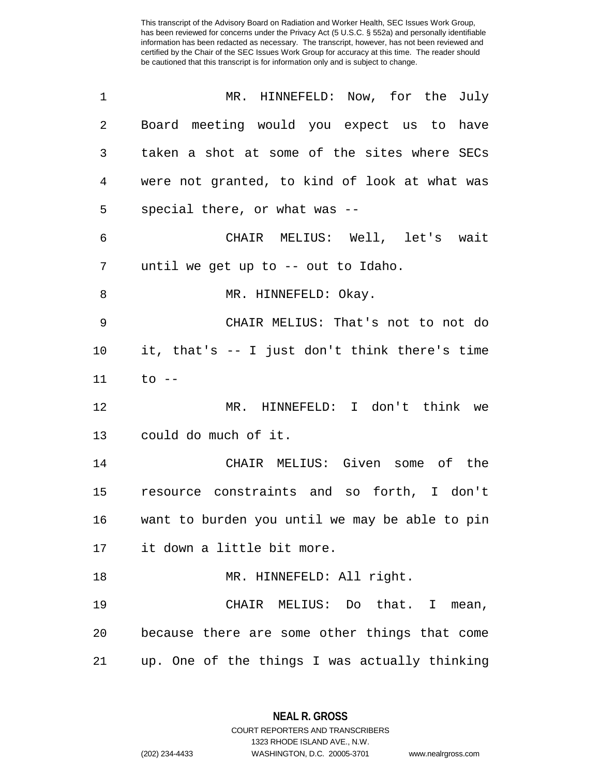| 1  | MR. HINNEFELD: Now, for the July               |
|----|------------------------------------------------|
| 2  | Board meeting would you expect us to have      |
| 3  | taken a shot at some of the sites where SECs   |
| 4  | were not granted, to kind of look at what was  |
| 5  | special there, or what was --                  |
| 6  | CHAIR MELIUS: Well, let's wait                 |
| 7  | until we get up to -- out to Idaho.            |
| 8  | MR. HINNEFELD: Okay.                           |
| 9  | CHAIR MELIUS: That's not to not do             |
| 10 | it, that's -- I just don't think there's time  |
| 11 | to --                                          |
| 12 | MR. HINNEFELD: I don't think we                |
| 13 | could do much of it.                           |
| 14 | CHAIR MELIUS: Given some of the                |
| 15 | resource constraints and so forth, I don't     |
| 16 | want to burden you until we may be able to pin |
|    | 17 it down a little bit more.                  |
| 18 | MR. HINNEFELD: All right.                      |
| 19 | CHAIR MELIUS: Do that. I mean,                 |
| 20 | because there are some other things that come  |
| 21 | up. One of the things I was actually thinking  |

**NEAL R. GROSS** COURT REPORTERS AND TRANSCRIBERS

1323 RHODE ISLAND AVE., N.W.

(202) 234-4433 WASHINGTON, D.C. 20005-3701 www.nealrgross.com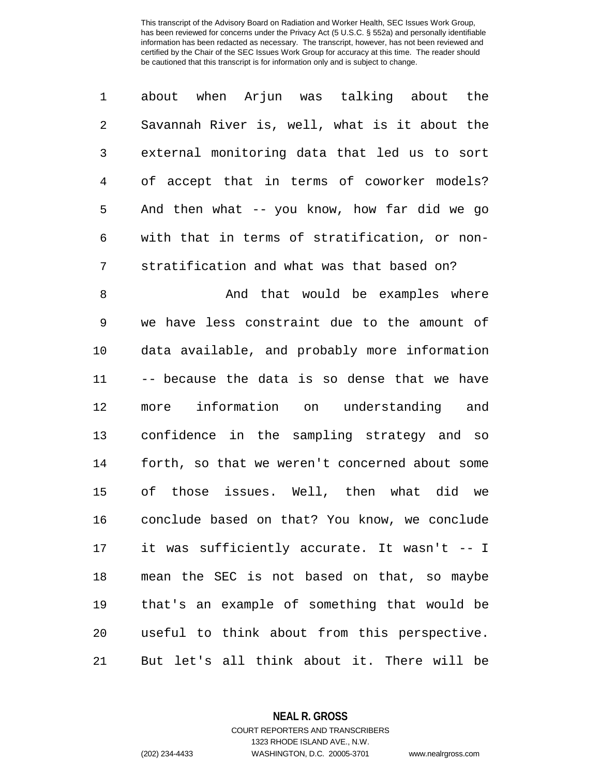|   | about when Arjun was talking about the        |
|---|-----------------------------------------------|
| 2 | Savannah River is, well, what is it about the |
| 3 | external monitoring data that led us to sort  |
| 4 | of accept that in terms of coworker models?   |
| 5 | And then what -- you know, how far did we go  |
| 6 | with that in terms of stratification, or non- |
| 7 | stratification and what was that based on?    |

8 And that would be examples where we have less constraint due to the amount of data available, and probably more information -- because the data is so dense that we have more information on understanding and confidence in the sampling strategy and so forth, so that we weren't concerned about some of those issues. Well, then what did we conclude based on that? You know, we conclude it was sufficiently accurate. It wasn't -- I mean the SEC is not based on that, so maybe that's an example of something that would be useful to think about from this perspective. But let's all think about it. There will be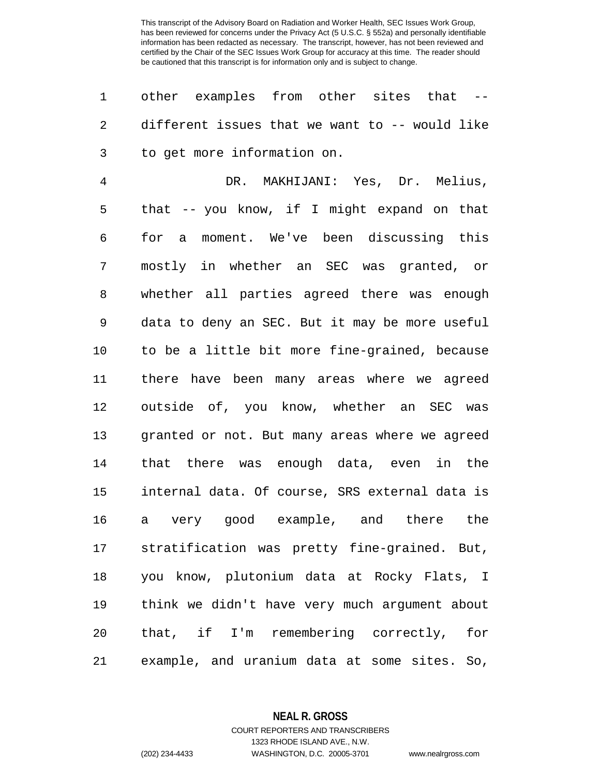other examples from other sites that -- different issues that we want to -- would like to get more information on.

 DR. MAKHIJANI: Yes, Dr. Melius, that -- you know, if I might expand on that for a moment. We've been discussing this mostly in whether an SEC was granted, or whether all parties agreed there was enough data to deny an SEC. But it may be more useful to be a little bit more fine-grained, because there have been many areas where we agreed outside of, you know, whether an SEC was granted or not. But many areas where we agreed that there was enough data, even in the internal data. Of course, SRS external data is a very good example, and there the stratification was pretty fine-grained. But, you know, plutonium data at Rocky Flats, I think we didn't have very much argument about that, if I'm remembering correctly, for example, and uranium data at some sites. So,

> **NEAL R. GROSS** COURT REPORTERS AND TRANSCRIBERS

> > 1323 RHODE ISLAND AVE., N.W.

(202) 234-4433 WASHINGTON, D.C. 20005-3701 www.nealrgross.com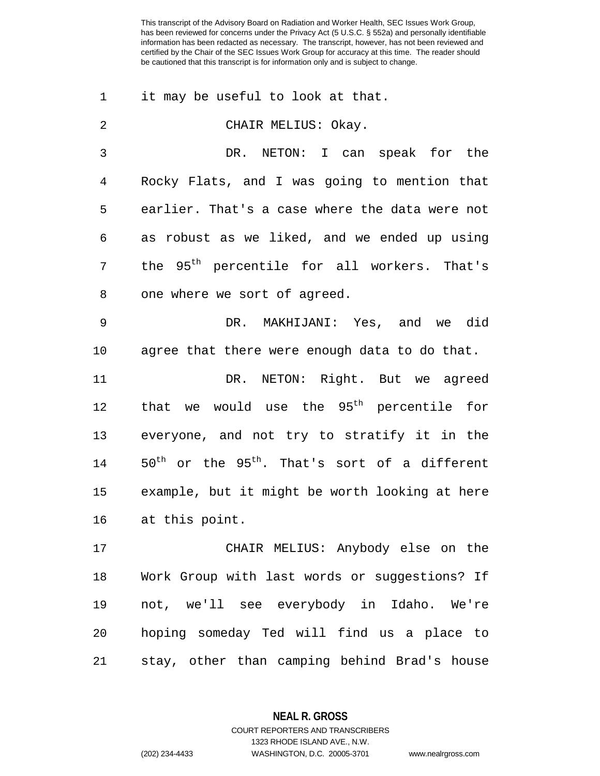1 it may be useful to look at that.

 CHAIR MELIUS: Okay. DR. NETON: I can speak for the Rocky Flats, and I was going to mention that earlier. That's a case where the data were not as robust as we liked, and we ended up using 7 the 95<sup>th</sup> percentile for all workers. That's one where we sort of agreed. DR. MAKHIJANI: Yes, and we did agree that there were enough data to do that. DR. NETON: Right. But we agreed 12 that we would use the  $95<sup>th</sup>$  percentile for everyone, and not try to stratify it in the

14  $50^{\text{th}}$  or the  $95^{\text{th}}$ . That's sort of a different 15 example, but it might be worth looking at here 16 at this point.

 CHAIR MELIUS: Anybody else on the Work Group with last words or suggestions? If not, we'll see everybody in Idaho. We're hoping someday Ted will find us a place to stay, other than camping behind Brad's house

**NEAL R. GROSS**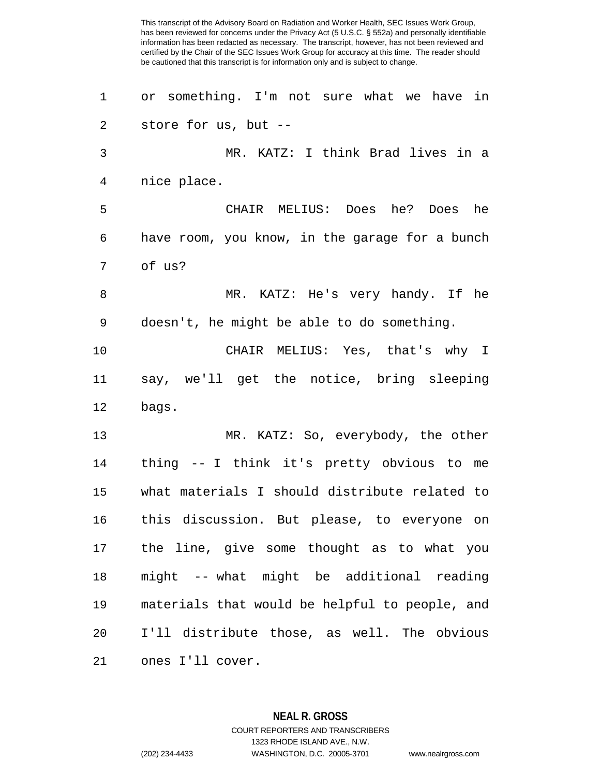or something. I'm not sure what we have in store for us, but -- MR. KATZ: I think Brad lives in a nice place. CHAIR MELIUS: Does he? Does he have room, you know, in the garage for a bunch of us? MR. KATZ: He's very handy. If he doesn't, he might be able to do something. CHAIR MELIUS: Yes, that's why I say, we'll get the notice, bring sleeping bags. MR. KATZ: So, everybody, the other thing -- I think it's pretty obvious to me what materials I should distribute related to this discussion. But please, to everyone on the line, give some thought as to what you might -- what might be additional reading materials that would be helpful to people, and I'll distribute those, as well. The obvious ones I'll cover.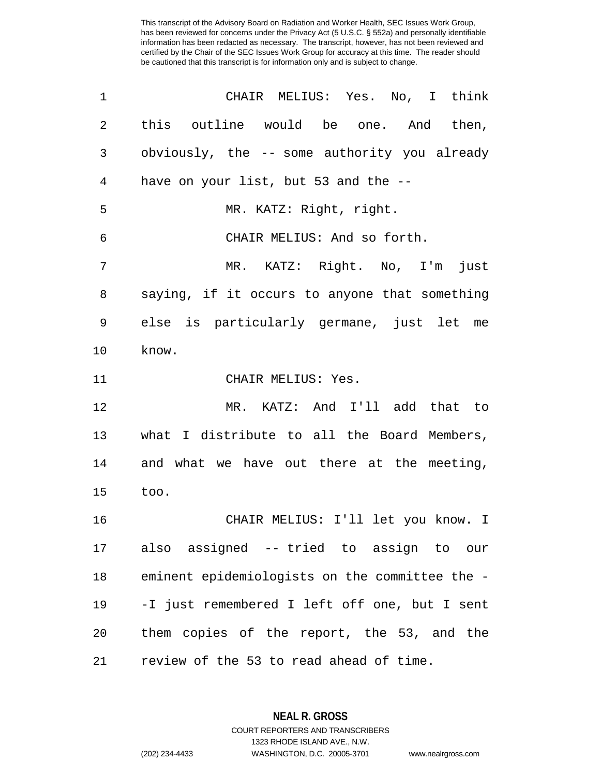This transcript of the Advisory Board on Radiation and Worker Health, SEC Issues Work Group, has been reviewed for concerns under the Privacy Act (5 U.S.C. § 552a) and personally identifiable information has been redacted as necessary. The transcript, however, has not been reviewed and certified by the Chair of the SEC Issues Work Group for accuracy at this time. The reader should be cautioned that this transcript is for information only and is subject to change.

| 1  | CHAIR MELIUS: Yes. No, I think                 |
|----|------------------------------------------------|
| 2  | this outline would be one. And then,           |
| 3  | obviously, the -- some authority you already   |
| 4  | have on your list, but 53 and the --           |
| 5  | MR. KATZ: Right, right.                        |
| 6  | CHAIR MELIUS: And so forth.                    |
| 7  | MR. KATZ: Right. No, I'm<br>just               |
| 8  | saying, if it occurs to anyone that something  |
| 9  | else is particularly germane, just let me      |
| 10 | know.                                          |
| 11 | CHAIR MELIUS: Yes.                             |
| 12 | MR. KATZ: And I'll add that to                 |
| 13 | what I distribute to all the Board Members,    |
| 14 | and what we have out there at the meeting,     |
| 15 | too.                                           |
| 16 | CHAIR MELIUS: I'll let you know. I             |
|    | 17 also assigned -- tried to assign to our     |
| 18 | eminent epidemiologists on the committee the - |
| 19 | -I just remembered I left off one, but I sent  |
| 20 | them copies of the report, the 53, and the     |
| 21 | review of the 53 to read ahead of time.        |

**NEAL R. GROSS** COURT REPORTERS AND TRANSCRIBERS 1323 RHODE ISLAND AVE., N.W. (202) 234-4433 WASHINGTON, D.C. 20005-3701 www.nealrgross.com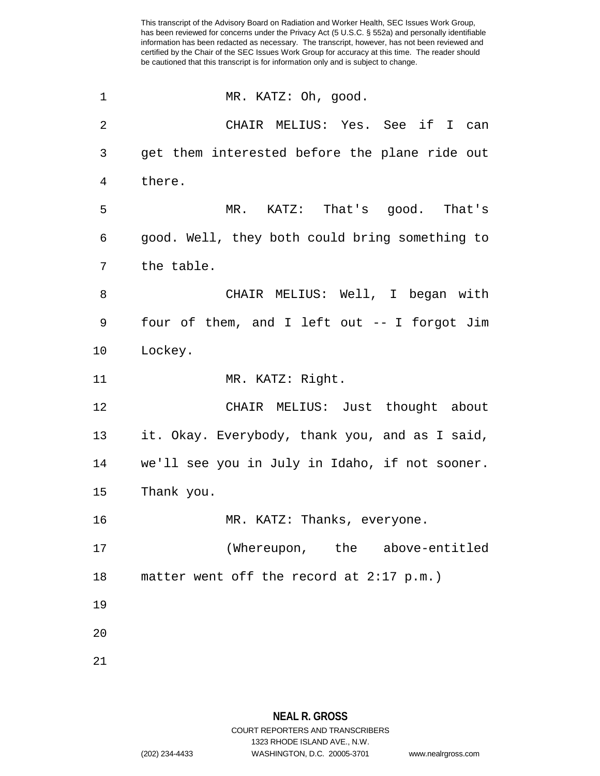This transcript of the Advisory Board on Radiation and Worker Health, SEC Issues Work Group, has been reviewed for concerns under the Privacy Act (5 U.S.C. § 552a) and personally identifiable information has been redacted as necessary. The transcript, however, has not been reviewed and certified by the Chair of the SEC Issues Work Group for accuracy at this time. The reader should be cautioned that this transcript is for information only and is subject to change.

1 MR. KATZ: Oh, good. CHAIR MELIUS: Yes. See if I can get them interested before the plane ride out 4 there. MR. KATZ: That's good. That's good. Well, they both could bring something to the table. CHAIR MELIUS: Well, I began with four of them, and I left out -- I forgot Jim 10 Lockey. 11 MR. KATZ: Right. CHAIR MELIUS: Just thought about it. Okay. Everybody, thank you, and as I said, we'll see you in July in Idaho, if not sooner. Thank you. 16 MR. KATZ: Thanks, everyone. (Whereupon, the above-entitled matter went off the record at 2:17 p.m.) 19 20 21

1323 RHODE ISLAND AVE., N.W.